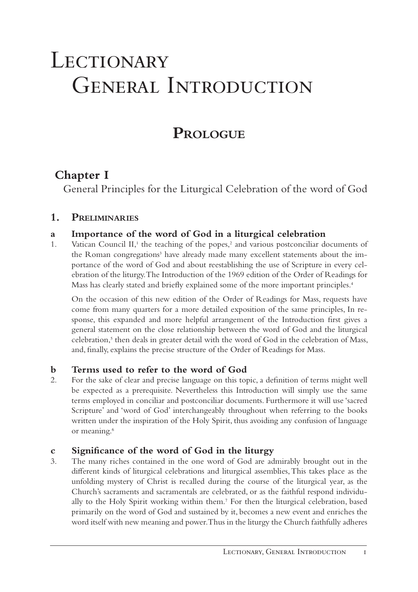# **LECTIONARY** GENERAL INTRODUCTION

# **PROLOGUE**

# **Chapter I**

General Principles for the Liturgical Celebration of the word of God

## **1. PRELIMINARIES**

### **a Importance of the word of God in a liturgical celebration**

1. Vatican Council II,<sup>1</sup> the teaching of the popes,<sup>2</sup> and various postconciliar documents of the Roman congregations<sup>3</sup> have already made many excellent statements about the importance of the word of God and about reestablishing the use of Scripture in every celebration of the liturgy. The Introduction of the 1969 edition of the Order of Readings for Mass has clearly stated and briefly explained some of the more important principles.<sup>4</sup>

On the occasion of this new edition of the Order of Readings for Mass, requests have come from many quarters for a more detailed exposition of the same principles, In response, this expanded and more helpful arrangement of the Introduction first gives a general statement on the close relationship between the word of God and the liturgical celebration,<sup>5</sup> then deals in greater detail with the word of God in the celebration of Mass, and, finally, explains the precise structure of the Order of Readings for Mass.

### **b Terms used to refer to the word of God**

2. For the sake of clear and precise language on this topic, a definition of terms might well be expected as a prerequisite. Nevertheless this Introduction will simply use the same terms employed in conciliar and postconciliar documents. Furthermore it will use 'sacred Scripture' and 'word of God' interchangeably throughout when referring to the books written under the inspiration of the Holy Spirit, thus avoiding any confusion of language or meaning.<sup>6</sup>

### **c Significance of the word of God in the liturgy**

3. The many riches contained in the one word of God are admirably brought out in the different kinds of liturgical celebrations and liturgical assemblies, This takes place as the unfolding mystery of Christ is recalled during the course of the liturgical year, as the Church's sacraments and sacramentals are celebrated, or as the faithful respond individually to the Holy Spirit working within them.<sup>7</sup> For then the liturgical celebration, based primarily on the word of God and sustained by it, becomes a new event and enriches the word itself with new meaning and power. Thus in the liturgy the Church faithfully adheres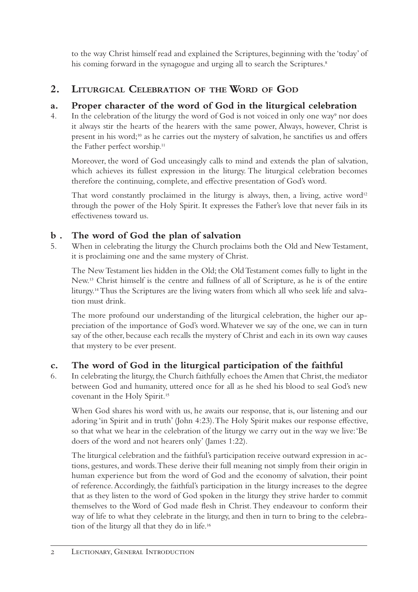to the way Christ himself read and explained the Scriptures, beginning with the 'today' of his coming forward in the synagogue and urging all to search the Scriptures.<sup>8</sup>

# **2. LITURGICAL CELEBRATION OF THE WORD OF GOD**

### **a. Proper character of the word of God in the liturgical celebration**

4. In the celebration of the liturgy the word of God is not voiced in only one way<sup>9</sup> nor does it always stir the hearts of the hearers with the same power, Always, however, Christ is present in his word;<sup>10</sup> as he carries out the mystery of salvation, he sanctifies us and offers the Father perfect worship.<sup>11</sup>

Moreover, the word of God unceasingly calls to mind and extends the plan of salvation, which achieves its fullest expression in the liturgy. The liturgical celebration becomes therefore the continuing, complete, and effective presentation of God's word.

That word constantly proclaimed in the liturgy is always, then, a living, active word<sup>12</sup> through the power of the Holy Spirit. It expresses the Father's love that never fails in its effectiveness toward us.

### **b . The word of God the plan of salvation**

5. When in celebrating the liturgy the Church proclaims both the Old and New Testament, it is proclaiming one and the same mystery of Christ.

The New Testament lies hidden in the Old; the Old Testament comes fully to light in the New.13 Christ himself is the centre and fullness of all of Scripture, as he is of the entire liturgy.14 Thus the Scriptures are the living waters from which all who seek life and salvation must drink.

The more profound our understanding of the liturgical celebration, the higher our appreciation of the importance of God's word. Whatever we say of the one, we can in turn say of the other, because each recalls the mystery of Christ and each in its own way causes that mystery to be ever present.

# **c. The word of God in the liturgical participation of the faithful**

6. In celebrating the liturgy, the Church faithfully echoes the Amen that Christ, the mediator between God and humanity, uttered once for all as he shed his blood to seal God's new covenant in the Holy Spirit.<sup>15</sup>

When God shares his word with us, he awaits our response, that is, our listening and our adoring 'in Spirit and in truth' (John 4:23). The Holy Spirit makes our response effective, so that what we hear in the celebration of the liturgy we carry out in the way we live: 'Be doers of the word and not hearers only' (James 1:22).

The liturgical celebration and the faithful's participation receive outward expression in actions, gestures, and words. These derive their full meaning not simply from their origin in human experience but from the word of God and the economy of salvation, their point of reference. Accordingly, the faithful's participation in the liturgy increases to the degree that as they listen to the word of God spoken in the liturgy they strive harder to commit themselves to the Word of God made flesh in Christ. They endeavour to conform their way of life to what they celebrate in the liturgy, and then in turn to bring to the celebration of the liturgy all that they do in life.16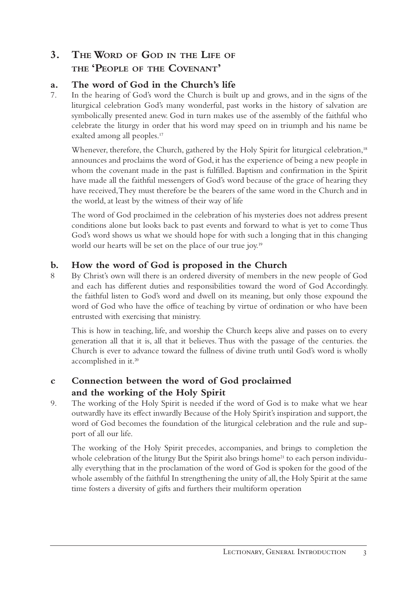# **3. THE WORD OF GOD IN THE LIFE OF THE 'PEOPLE OF THE COVENANT'**

### **a. The word of God in the Church's life**

7. In the hearing of God's word the Church is built up and grows, and in the signs of the liturgical celebration God's many wonderful, past works in the history of salvation are symbolically presented anew. God in turn makes use of the assembly of the faithful who celebrate the liturgy in order that his word may speed on in triumph and his name be exalted among all peoples.<sup>17</sup>

Whenever, therefore, the Church, gathered by the Holy Spirit for liturgical celebration,<sup>18</sup> announces and proclaims the word of God, it has the experience of being a new people in whom the covenant made in the past is fulfilled. Baptism and confirmation in the Spirit have made all the faithful messengers of God's word because of the grace of hearing they have received, They must therefore be the bearers of the same word in the Church and in the world, at least by the witness of their way of life

The word of God proclaimed in the celebration of his mysteries does not address present conditions alone but looks back to past events and forward to what is yet to come Thus God's word shows us what we should hope for with such a longing that in this changing world our hearts will be set on the place of our true joy.<sup>19</sup>

### **b. How the word of God is proposed in the Church**

8 By Christ's own will there is an ordered diversity of members in the new people of God and each has different duties and responsibilities toward the word of God Accordingly. the faithful listen to God's word and dwell on its meaning, but only those expound the word of God who have the office of teaching by virtue of ordination or who have been entrusted with exercising that ministry.

This is how in teaching, life, and worship the Church keeps alive and passes on to every generation all that it is, all that it believes. Thus with the passage of the centuries. the Church is ever to advance toward the fullness of divine truth until God's word is wholly accomplished in it.<sup>20</sup>

### **c Connection between the word of God proclaimed and the working of the Holy Spirit**

9. The working of the Holy Spirit is needed if the word of God is to make what we hear outwardly have its effect inwardly Because of the Holy Spirit's inspiration and support, the word of God becomes the foundation of the liturgical celebration and the rule and support of all our life.

The working of the Holy Spirit precedes, accompanies, and brings to completion the whole celebration of the liturgy But the Spirit also brings home<sup>21</sup> to each person individually everything that in the proclamation of the word of God is spoken for the good of the whole assembly of the faithful In strengthening the unity of all, the Holy Spirit at the same time fosters a diversity of gifts and furthers their multiform operation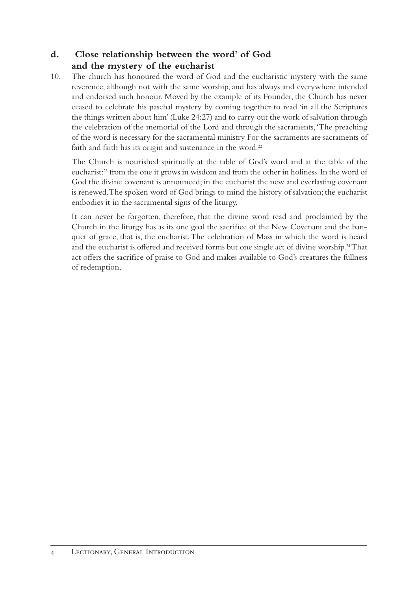## **d. Close relationship between the word' of God and the mystery of the eucharist**

10. The church has honoured the word of God and the eucharistic mystery with the same reverence, although not with the same worship, and has always and everywhere intended and endorsed such honour. Moved by the example of its Founder, the Church has never ceased to celebrate his paschal mystery by coming together to read 'in all the Scriptures the things written about him' (Luke 24:27) and to carry out the work of salvation through the celebration of the memorial of the Lord and through the sacraments, 'The preaching of the word is necessary for the sacramental ministry For the sacraments are sacraments of faith and faith has its origin and sustenance in the word.<sup>22</sup>

The Church is nourished spiritually at the table of God's word and at the table of the eucharist:23 from the one it grows in wisdom and from the other in holiness. In the word of God the divine covenant is announced; in the eucharist the new and everlasting covenant is renewed. The spoken word of God brings to mind the history of salvation; the eucharist embodies it in the sacramental signs of the liturgy.

It can never be forgotten, therefore, that the divine word read and proclaimed by the Church in the liturgy has as its one goal the sacrifice of the New Covenant and the banquet of grace, that is, the eucharist. The celebration of Mass in which the word is heard and the eucharist is offered and received forms but one single act of divine worship.<sup>24</sup> That act offers the sacrifice of praise to God and makes available to God's creatures the fullness of redemption,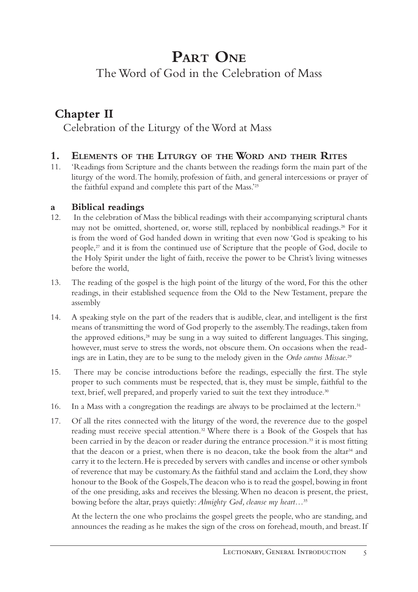# **PART ONE** The Word of God in the Celebration of Mass

# **Chapter II**

# Celebration of the Liturgy of the Word at Mass

# **1. ELEMENTS OF THE LITURGY OF THE WORD AND THEIR RITES**

11. 'Readings from Scripture and the chants between the readings form the main part of the liturgy of the word. The homily, profession of faith, and general intercessions or prayer of the faithful expand and complete this part of the Mass.'<sup>25</sup>

### **a Biblical readings**

- 12. In the celebration of Mass the biblical readings with their accompanying scriptural chants may not be omitted, shortened, or, worse still, replaced by nonbiblical readings.<sup>26</sup> For it is from the word of God handed down in writing that even now 'God is speaking to his people,27 and it is from the continued use of Scripture that the people of God, docile to the Holy Spirit under the light of faith, receive the power to be Christ's living witnesses before the world,
- 13. The reading of the gospel is the high point of the liturgy of the word, For this the other readings, in their established sequence from the Old to the New Testament, prepare the assembly
- 14. A speaking style on the part of the readers that is audible, clear, and intelligent is the first means of transmitting the word of God properly to the assembly. The readings, taken from the approved editions,<sup>28</sup> may be sung in a way suited to different languages. This singing, however, must serve to stress the words, not obscure them. On occasions when the readings are in Latin, they are to be sung to the melody given in the *Ordo cantus Missae*. 29
- 15. There may be concise introductions before the readings, especially the first. The style proper to such comments must be respected, that is, they must be simple, faithful to the text, brief, well prepared, and properly varied to suit the text they introduce.<sup>30</sup>
- 16. In a Mass with a congregation the readings are always to be proclaimed at the lectern.<sup>31</sup>
- 17. Of all the rites connected with the liturgy of the word, the reverence due to the gospel reading must receive special attention.<sup>32</sup> Where there is a Book of the Gospels that has been carried in by the deacon or reader during the entrance procession.<sup>33</sup> it is most fitting that the deacon or a priest, when there is no deacon, take the book from the altar $34$  and carry it to the lectern. He is preceded by servers with candles and incense or other symbols of reverence that may be customary. As the faithful stand and acclaim the Lord, they show honour to the Book of the Gospels, The deacon who is to read the gospel, bowing in front of the one presiding, asks and receives the blessing. When no deacon is present, the priest, bowing before the altar, prays quietly: *Almighty God, cleanse my heart*…<sup>35</sup>

At the lectern the one who proclaims the gospel greets the people, who are standing, and announces the reading as he makes the sign of the cross on forehead, mouth, and breast. If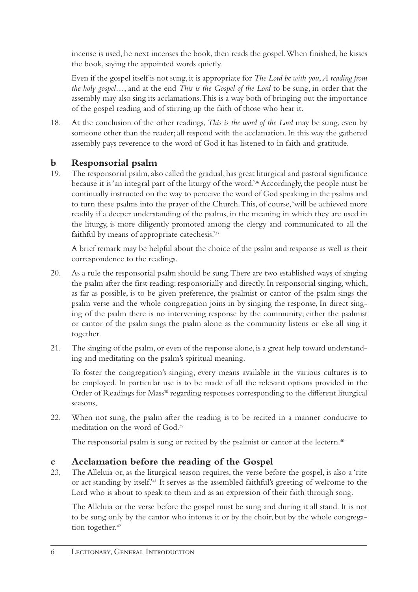incense is used, he next incenses the book, then reads the gospel. When finished, he kisses the book, saying the appointed words quietly.

Even if the gospel itself is not sung, it is appropriate for *The Lord be with you*, *A reading from the holy gospel*…, and at the end *This is the Gospel of the Lord* to be sung, in order that the assembly may also sing its acclamations. This is a way both of bringing out the importance of the gospel reading and of stirring up the faith of those who hear it.

18. At the conclusion of the other readings, *This is the word of the Lord* may be sung, even by someone other than the reader; all respond with the acclamation. In this way the gathered assembly pays reverence to the word of God it has listened to in faith and gratitude.

### **b Responsorial psalm**

19. The responsorial psalm, also called the gradual, has great liturgical and pastoral significance because it is 'an integral part of the liturgy of the word.'36 Accordingly, the people must be continually instructed on the way to perceive the word of God speaking in the psalms and to turn these psalms into the prayer of the Church. This, of course, 'will be achieved more readily if a deeper understanding of the psalms, in the meaning in which they are used in the liturgy, is more diligently promoted among the clergy and communicated to all the faithful by means of appropriate catechesis.'<sup>37</sup>

A brief remark may be helpful about the choice of the psalm and response as well as their correspondence to the readings.

- 20. As a rule the responsorial psalm should be sung. There are two established ways of singing the psalm after the first reading: responsorially and directly. In responsorial singing, which, as far as possible, is to be given preference, the psalmist or cantor of the psalm sings the psalm verse and the whole congregation joins in by singing the response, In direct singing of the psalm there is no intervening response by the community; either the psalmist or cantor of the psalm sings the psalm alone as the community listens or else all sing it together.
- 21. The singing of the psalm, or even of the response alone, is a great help toward understanding and meditating on the psalm's spiritual meaning.

To foster the congregation's singing, every means available in the various cultures is to be employed. In particular use is to be made of all the relevant options provided in the Order of Readings for Mass<sup>38</sup> regarding responses corresponding to the different liturgical seasons,

22. When not sung, the psalm after the reading is to be recited in a manner conducive to meditation on the word of God.<sup>39</sup>

The responsorial psalm is sung or recited by the psalmist or cantor at the lectern.<sup>40</sup>

### **c Acclamation before the reading of the Gospel**

23, The Alleluia or, as the liturgical season requires, the verse before the gospel, is also a 'rite or act standing by itself.'41 It serves as the assembled faithful's greeting of welcome to the Lord who is about to speak to them and as an expression of their faith through song.

The Alleluia or the verse before the gospel must be sung and during it all stand. It is not to be sung only by the cantor who intones it or by the choir, but by the whole congregation together.<sup>42</sup>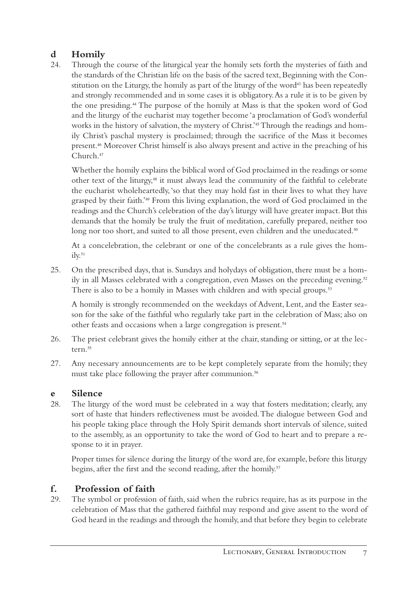## **d Homily**

24. Through the course of the liturgical year the homily sets forth the mysteries of faith and the standards of the Christian life on the basis of the sacred text, Beginning with the Constitution on the Liturgy, the homily as part of the liturgy of the word<sup>43</sup> has been repeatedly and strongly recommended and in some cases it is obligatory. As a rule it is to be given by the one presiding.44 The purpose of the homily at Mass is that the spoken word of God and the liturgy of the eucharist may together become 'a proclamation of God's wonderful works in the history of salvation, the mystery of Christ.'45 Through the readings and homily Christ's paschal mystery is proclaimed; through the sacrifice of the Mass it becomes present.46 Moreover Christ himself is also always present and active in the preaching of his Church.<sup>47</sup>

Whether the homily explains the biblical word of God proclaimed in the readings or some other text of the liturgy,48 it must always lead the community of the faithful to celebrate the eucharist wholeheartedly, 'so that they may hold fast in their lives to what they have grasped by their faith.'49 From this living explanation, the word of God proclaimed in the readings and the Church's celebration of the day's liturgy will have greater impact. But this demands that the homily be truly the fruit of meditation, carefully prepared, neither too long nor too short, and suited to all those present, even children and the uneducated.<sup>50</sup>

At a concelebration, the celebrant or one of the concelebrants as a rule gives the hom $i$ ly. $51$ 

25. On the prescribed days, that is. Sundays and holydays of obligation, there must be a homily in all Masses celebrated with a congregation, even Masses on the preceding evening.<sup>52</sup> There is also to be a homily in Masses with children and with special groups.<sup>53</sup>

A homily is strongly recommended on the weekdays of Advent, Lent, and the Easter season for the sake of the faithful who regularly take part in the celebration of Mass; also on other feasts and occasions when a large congregation is present.<sup>54</sup>

- 26. The priest celebrant gives the homily either at the chair, standing or sitting, or at the lectern.<sup>55</sup>
- 27. Any necessary announcements are to be kept completely separate from the homily; they must take place following the prayer after communion.<sup>56</sup>

### **e Silence**

28. The liturgy of the word must be celebrated in a way that fosters meditation; clearly, any sort of haste that hinders reflectiveness must be avoided. The dialogue between God and his people taking place through the Holy Spirit demands short intervals of silence, suited to the assembly, as an opportunity to take the word of God to heart and to prepare a response to it in prayer.

Proper times for silence during the liturgy of the word are, for example, before this liturgy begins, after the first and the second reading, after the homily.<sup>57</sup>

### **f. Profession of faith**

29. The symbol or profession of faith, said when the rubrics require, has as its purpose in the celebration of Mass that the gathered faithful may respond and give assent to the word of God heard in the readings and through the homily, and that before they begin to celebrate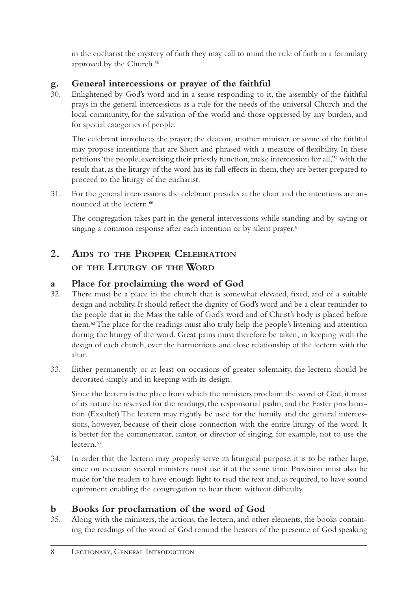in the eucharist the mystery of faith they may call to mind the rule of faith in a formulary approved by the Church.<sup>58</sup>

## **g. General intercessions or prayer of the faithful**

30. Enlightened by God's word and in a sense responding to it, the assembly of the faithful prays in the general intercessions as a rule for the needs of the universal Church and the local community, for the salvation of the world and those oppressed by any burden, and for special categories of people.

The celebrant introduces the prayer; the deacon, another minister, or some of the faithful may propose intentions that are Short and phrased with a measure of flexibility. In these petitions 'the people, exercising their priestly function, make intercession for all,'59 with the result that, as the liturgy of the word has its full effects in them, they are better prepared to proceed to the liturgy of the eucharist.

31. For the general intercessions the celebrant presides at the chair and the intentions are announced at the lectern.<sup>60</sup>

The congregation takes part in the general intercessions while standing and by saying or singing a common response after each intention or by silent prayer.<sup>61</sup>

# **2. AIDS TO THE PROPER CELEBRATION OF THE LITURGY OF THE WORD**

### **a Place for proclaiming the word of God**

- 32. There must be a place in the church that is somewhat elevated, fixed, and of a suitable design and nobility. It should reflect the dignity of God's word and be a clear reminder to the people that in the Mass the table of God's word and of Christ's body is placed before them.62 The place for the readings must also truly help the people's listening and attention during the liturgy of the word. Great pains must therefore be taken, in keeping with the design of each church, over the harmonious and close relationship of the lectern with the altar.
- 33. Either permanently or at least on occasions of greater solemnity, the lectern should be decorated simply and in keeping with its design.

Since the lectern is the place from which the ministers proclaim the word of God, it must of its nature be reserved for the readings, the responsorial psalm, and the Easter proclamation (Exsultet) The lectern may rightly be used for the homily and the general intercessions, however, because of their close connection with the entire liturgy of the word. It is better for the commentator, cantor, or director of singing, for example, not to use the lectern.<sup>63</sup>

34. In order that the lectern may properly serve its liturgical purpose, it is to be rather large, since on occasion several ministers must use it at the same time. Provision must also be made for 'the readers to have enough light to read the text and, as required, to have sound equipment enabling the congregation to hear them without difficulty.

### **b Books for proclamation of the word of God**

35. Along with the ministers, the actions, the lectern, and other elements, the books containing the readings of the word of God remind the hearers of the presence of God speaking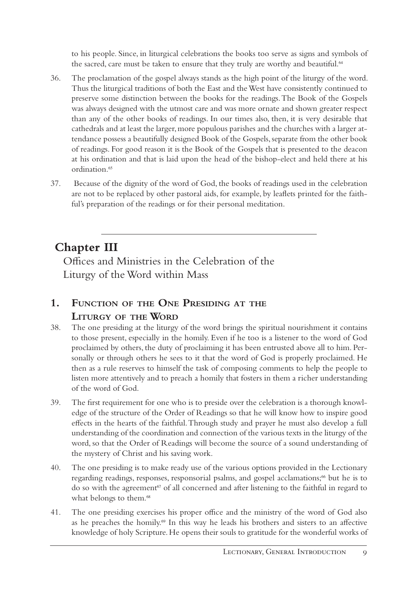to his people. Since, in liturgical celebrations the books too serve as signs and symbols of the sacred, care must be taken to ensure that they truly are worthy and beautiful.<sup>64</sup>

- 36. The proclamation of the gospel always stands as the high point of the liturgy of the word. Thus the liturgical traditions of both the East and the West have consistently continued to preserve some distinction between the books for the readings. The Book of the Gospels was always designed with the utmost care and was more ornate and shown greater respect than any of the other books of readings. In our times also, then, it is very desirable that cathedrals and at least the larger, more populous parishes and the churches with a larger attendance possess a beautifully designed Book of the Gospels, separate from the other book of readings. For good reason it is the Book of the Gospels that is presented to the deacon at his ordination and that is laid upon the head of the bishop-elect and held there at his ordination.<sup>65</sup>
- 37. Because of the dignity of the word of God, the books of readings used in the celebration are not to be replaced by other pastoral aids, for example, by leaflets printed for the faithful's preparation of the readings or for their personal meditation.

# **Chapter III**

Offices and Ministries in the Celebration of the Liturgy of the Word within Mass

# **1. FUNCTION OF THE ONE PRESIDING AT THE LITURGY OF THE WORD**

- 38. The one presiding at the liturgy of the word brings the spiritual nourishment it contains to those present, especially in the homily. Even if he too is a listener to the word of God proclaimed by others, the duty of proclaiming it has been entrusted above all to him. Personally or through others he sees to it that the word of God is properly proclaimed. He then as a rule reserves to himself the task of composing comments to help the people to listen more attentively and to preach a homily that fosters in them a richer understanding of the word of God.
- 39. The first requirement for one who is to preside over the celebration is a thorough knowledge of the structure of the Order of Readings so that he will know how to inspire good effects in the hearts of the faithful. Through study and prayer he must also develop a full understanding of the coordination and connection of the various texts in the liturgy of the word, so that the Order of Readings will become the source of a sound understanding of the mystery of Christ and his saving work.
- 40. The one presiding is to make ready use of the various options provided in the Lectionary regarding readings, responses, responsorial psalms, and gospel acclamations;<sup>66</sup> but he is to do so with the agreement<sup>67</sup> of all concerned and after listening to the faithful in regard to what belongs to them.<sup>68</sup>
- 41. The one presiding exercises his proper office and the ministry of the word of God also as he preaches the homily.69 In this way he leads his brothers and sisters to an affective knowledge of holy Scripture. He opens their souls to gratitude for the wonderful works of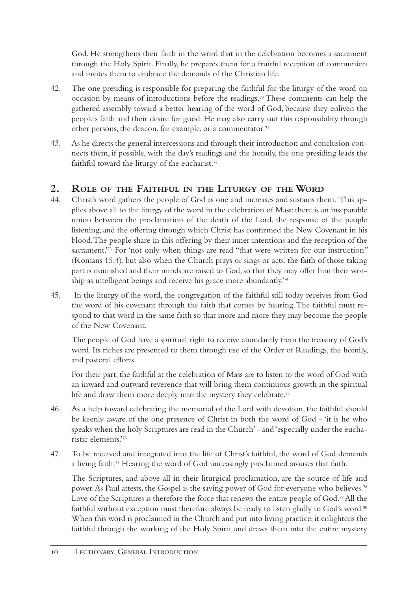God. He strengthens their faith in the word that in the celebration becomes a sacrament through the Holy Spirit. Finally, he prepares them for a fruitful reception of communion and invites them to embrace the demands of the Christian life.

- 42. The one presiding is responsible for preparing the faithful for the liturgy of the word on occasion by means of introductions before the readings.70 These comments can help the gathered assembly toward a better hearing of the word of God, because they enliven the people's faith and their desire for good. He may also carry out this responsibility through other persons, the deacon, for example, or a commentator.<sup>71</sup>
- 43. As he directs the general intercessions and through their introduction and conclusion connects them, if possible, with the day's readings and the homily, the one presiding leads the faithful toward the liturgy of the eucharist.<sup>72</sup>

### **2. ROLE OF THE FAITHFUL IN THE LITURGY OF THE WORD**

- 44, Christ's word gathers the people of God as one and increases and sustains them. 'This applies above all to the liturgy of the word in the celebration of Mass: there is an inseparable union between the proclamation of the death of the Lord, the response of the people listening, and the offering through which Christ has confirmed the New Covenant in his blood. The people share in this offering by their inner intentions and the reception of the sacrament.<sup>73</sup> For 'not only when things are read "that were written for our instruction" (Romans 15:4), but also when the Church prays or sings or acts, the faith of those taking part is nourished and their minds are raised to God, so that they may offer him their worship as intelligent beings and receive his grace more abundantly.'<sup>74</sup>
- 45. In the liturgy of the word, the congregation of the faithful still today receives from God the word of his covenant through the faith that comes by hearing. The faithful must respond to that word in the same faith so that more and more they may become the people of the New Covenant.

The people of God have a spiritual right to receive abundantly from the treasury of God's word. Its riches are presented to them through use of the Order of Readings, the homily, and pastoral efforts.

For their part, the faithful at the celebration of Mass are to listen to the word of God with an inward and outward reverence that will bring them continuous growth in the spiritual life and draw them more deeply into the mystery they celebrate.<sup>75</sup>

- 46. As a help toward celebrating the memorial of the Lord with devotion, the faithful should be keenly aware of the one presence of Christ in both the word of God - 'it is he who speaks when the holy Scriptures are read in the Church' - and 'especially under the eucharistic elements.'<sup>76</sup>
- 47. To be received and integrated into the life of Christ's faithful, the word of God demands a living faith. $77$  Hearing the word of God unceasingly proclaimed arouses that faith.

The Scriptures, and above all in their liturgical proclamation, are the source of life and power. As Paul attests, the Gospel is the saving power of God for everyone who believes.<sup>78</sup> Love of the Scriptures is therefore the force that renews the entire people of God.<sup>79</sup> All the faithful without exception must therefore always be ready to listen gladly to God's word.<sup>80</sup> When this word is proclaimed in the Church and put into living practice, it enlightens the faithful through the working of the Holy Spirit and draws them into the entire mystery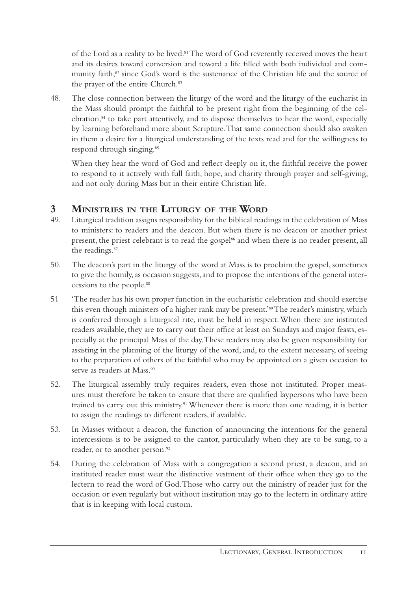of the Lord as a reality to be lived.81 The word of God reverently received moves the heart and its desires toward conversion and toward a life filled with both individual and community faith,<sup>82</sup> since God's word is the sustenance of the Christian life and the source of the prayer of the entire Church.<sup>83</sup>

48. The close connection between the liturgy of the word and the liturgy of the eucharist in the Mass should prompt the faithful to be present right from the beginning of the celebration,<sup>84</sup> to take part attentively, and to dispose themselves to hear the word, especially by learning beforehand more about Scripture. That same connection should also awaken in them a desire for a liturgical understanding of the texts read and for the willingness to respond through singing.<sup>85</sup>

When they hear the word of God and reflect deeply on it, the faithful receive the power to respond to it actively with full faith, hope, and charity through prayer and self-giving, and not only during Mass but in their entire Christian life.

### **3 MINISTRIES IN THE LITURGY OF THE WORD**

- 49. Liturgical tradition assigns responsibility for the biblical readings in the celebration of Mass to ministers: to readers and the deacon. But when there is no deacon or another priest present, the priest celebrant is to read the gospel<sup>86</sup> and when there is no reader present, all the readings.<sup>87</sup>
- 50. The deacon's part in the liturgy of the word at Mass is to proclaim the gospel, sometimes to give the homily, as occasion suggests, and to propose the intentions of the general intercessions to the people.<sup>88</sup>
- 51 'The reader has his own proper function in the eucharistic celebration and should exercise this even though ministers of a higher rank may be present.'89 The reader's ministry, which is conferred through a liturgical rite, must be held in respect. When there are instituted readers available, they are to carry out their office at least on Sundays and major feasts, especially at the principal Mass of the day. These readers may also be given responsibility for assisting in the planning of the liturgy of the word, and, to the extent necessary, of seeing to the preparation of others of the faithful who may be appointed on a given occasion to serve as readers at Mass.<sup>90</sup>
- 52. The liturgical assembly truly requires readers, even those not instituted. Proper measures must therefore be taken to ensure that there are qualified laypersons who have been trained to carry out this ministry.91 Whenever there is more than one reading, it is better to assign the readings to different readers, if available.
- 53. In Masses without a deacon, the function of announcing the intentions for the general intercessions is to be assigned to the cantor, particularly when they are to be sung, to a reader, or to another person.<sup>92</sup>
- 54. During the celebration of Mass with a congregation a second priest, a deacon, and an instituted reader must wear the distinctive vestment of their office when they go to the lectern to read the word of God. Those who carry out the ministry of reader just for the occasion or even regularly but without institution may go to the lectern in ordinary attire that is in keeping with local custom.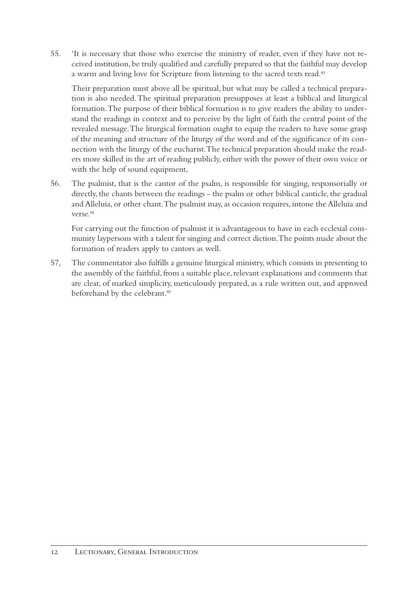55. 'It is necessary that those who exercise the ministry of reader, even if they have not received institution, be truly qualified and carefully prepared so that the faithful may develop a warm and living love for Scripture from listening to the sacred texts read.<sup>93</sup>

Their preparation must above all be spiritual, but what may be called a technical preparation is also needed. The spiritual preparation presupposes at least a biblical and liturgical formation. The purpose of their biblical formation is to give readers the ability to understand the readings in context and to perceive by the light of faith the central point of the revealed message. The liturgical formation ought to equip the readers to have some grasp of the meaning and structure of the liturgy of the word and of the significance of its connection with the liturgy of the eucharist. The technical preparation should make the readers more skilled in the art of reading publicly, either with the power of their own voice or with the help of sound equipment,

56. The psalmist, that is the cantor of the psalm, is responsible for singing, responsorially or directly, the chants between the readings - the psalm or other biblical canticle, the gradual and Alleluia, or other chant. The psalmist may, as occasion requires, intone the Alleluia and verse.<sup>94</sup>

For carrying out the function of psalmist it is advantageous to have in each ecclesial community laypersons with a talent for singing and correct diction. The points made about the formation of readers apply to cantors as well.

57, The commentator also fulfills a genuine liturgical ministry, which consists in presenting to the assembly of the faithful, from a suitable place, relevant explanations and comments that are clear, of marked simplicity, meticulously prepared, as a rule written out, and approved beforehand by the celebrant.<sup>95</sup>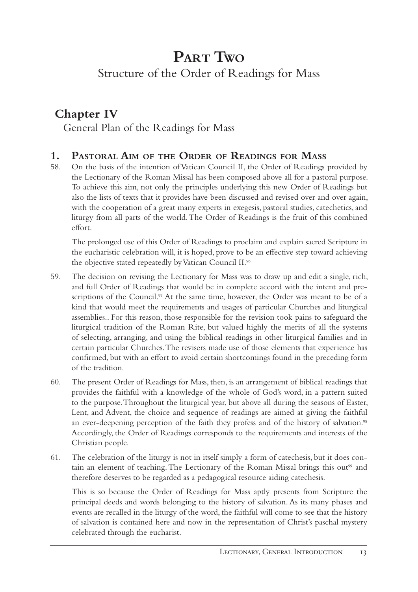# **PART TWO** Structure of the Order of Readings for Mass

# **Chapter IV**

General Plan of the Readings for Mass

# **1. PASTORAL AIM OF THE ORDER OF READINGS FOR MASS**

58. On the basis of the intention of Vatican Council II, the Order of Readings provided by the Lectionary of the Roman Missal has been composed above all for a pastoral purpose. To achieve this aim, not only the principles underlying this new Order of Readings but also the lists of texts that it provides have been discussed and revised over and over again, with the cooperation of a great many experts in exegesis, pastoral studies, catechetics, and liturgy from all parts of the world. The Order of Readings is the fruit of this combined effort.

The prolonged use of this Order of Readings to proclaim and explain sacred Scripture in the eucharistic celebration will, it is hoped, prove to be an effective step toward achieving the objective stated repeatedly by Vatican Council II.<sup>96</sup>

- 59. The decision on revising the Lectionary for Mass was to draw up and edit a single, rich, and full Order of Readings that would be in complete accord with the intent and prescriptions of the Council.<sup>97</sup> At the same time, however, the Order was meant to be of a kind that would meet the requirements and usages of particular Churches and liturgical assemblies.. For this reason, those responsible for the revision took pains to safeguard the liturgical tradition of the Roman Rite, but valued highly the merits of all the systems of selecting, arranging, and using the biblical readings in other liturgical families and in certain particular Churches. The revisers made use of those elements that experience has confirmed, but with an effort to avoid certain shortcomings found in the preceding form of the tradition.
- 60. The present Order of Readings for Mass, then, is an arrangement of biblical readings that provides the faithful with a knowledge of the whole of God's word, in a pattern suited to the purpose. Throughout the liturgical year, but above all during the seasons of Easter, Lent, and Advent, the choice and sequence of readings are aimed at giving the faithful an ever-deepening perception of the faith they profess and of the history of salvation.<sup>98</sup> Accordingly, the Order of Readings corresponds to the requirements and interests of the Christian people.
- 61. The celebration of the liturgy is not in itself simply a form of catechesis, but it does contain an element of teaching. The Lectionary of the Roman Missal brings this out<sup>99</sup> and therefore deserves to be regarded as a pedagogical resource aiding catechesis.

This is so because the Order of Readings for Mass aptly presents from Scripture the principal deeds and words belonging to the history of salvation. As its many phases and events are recalled in the liturgy of the word, the faithful will come to see that the history of salvation is contained here and now in the representation of Christ's paschal mystery celebrated through the eucharist.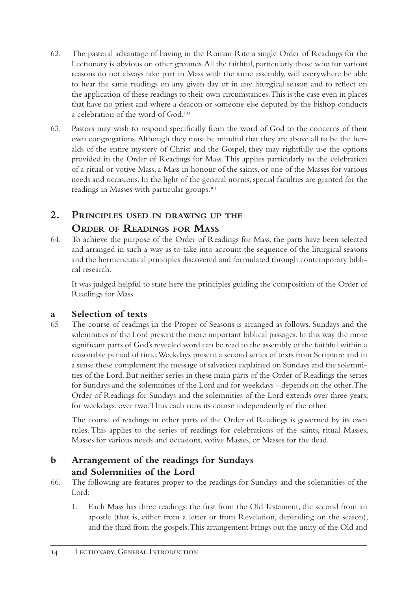- 62. The pastoral advantage of having in the Roman Rite a single Order of Readings for the Lectionary is obvious on other grounds. All the faithful, particularly those who for various reasons do not always take part in Mass with the same assembly, will everywhere be able to hear the same readings on any given day or in any liturgical season and to reflect on the application of these readings to their own circumstances. This is the case even in places that have no priest and where a deacon or someone else deputed by the bishop conducts a celebration of the word of God.<sup>100</sup>
- 63. Pastors may wish to respond specifically from the word of God to the concerns of their own congregations. Although they must be mindful that they are above all to be the heralds of the entire mystery of Christ and the Gospel, they may rightfully use the options provided in the Order of Readings for Mass. This applies particularly to the celebration of a ritual or votive Mass, a Mass in honour of the saints, or one of the Masses for various needs and occasions. In the light of the general norms, special faculties are granted for the readings in Masses with particular groups.<sup>101</sup>

# **2. PRINCIPLES USED IN DRAWING UP THE ORDER OF READINGS FOR MASS**

64, To achieve the purpose of the Order of Readings for Mass, the parts have been selected and arranged in such a way as to take into account the sequence of the liturgical seasons and the hermeneutical principles discovered and formulated through contemporary biblical research.

It was judged helpful to state here the principles guiding the composition of the Order of Readings for Mass.

### **a Selection of texts**

65 The course of readings in the Proper of Seasons is arranged as follows. Sundays and the solemnities of the Lord present the more important biblical passages. In this way the more significant parts of God's revealed word can be read to the assembly of the faithful within a reasonable period of time. Weekdays present a second series of texts from Scripture and in a sense these complement the message of salvation explained on Sundays and the solemnities of the Lord. But neither series in these main parts of the Order of Readings the series for Sundays and the solemnities of the Lord and for weekdays - depends on the other. The Order of Readings for Sundays and the solemnities of the Lord extends over three years; for weekdays, over two. Thus each runs its course independently of the other.

The course of readings in other parts of the Order of Readings is governed by its own rules. This applies to the series of readings for celebrations of the saints, ritual Masses, Masses for various needs and occasions, votive Masses, or Masses for the dead.

### **b Arrangement of the readings for Sundays and Solemnities of the Lord**

- 66. The following are features proper to the readings for Sundays and the solemnities of the Lord:
	- 1. Each Mass has three readings: the first from the Old Testament, the second from an apostle (that is, either from a letter or from Revelation, depending on the season), and the third from the gospels. This arrangement brings out the unity of the Old and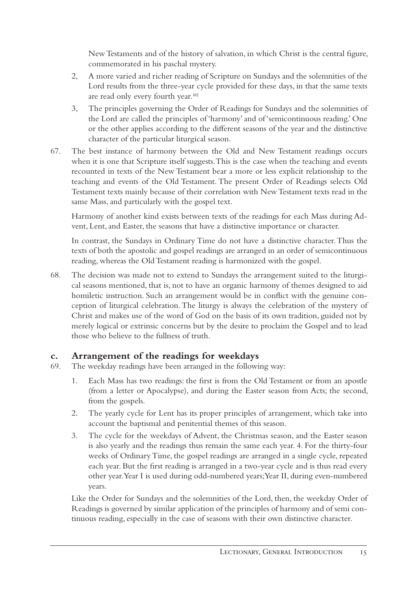New Testaments and of the history of salvation, in which Christ is the central figure, commemorated in his paschal mystery.

- 2, A more varied and richer reading of Scripture on Sundays and the solemnities of the Lord results from the three-year cycle provided for these days, in that the same texts are read only every fourth year.<sup>102</sup>
- 3, The principles governing the Order of Readings for Sundays and the solemnities of the Lord are called the principles of 'harmony' and of 'semicontinuous reading.' One or the other applies according to the different seasons of the year and the distinctive character of the particular liturgical season.
- 67. The best instance of harmony between the Old and New Testament readings occurs when it is one that Scripture itself suggests. This is the case when the teaching and events recounted in texts of the New Testament bear a more or less explicit relationship to the teaching and events of the Old Testament. The present Order of Readings selects Old Testament texts mainly because of their correlation with New Testament texts read in the same Mass, and particularly with the gospel text.

Harmony of another kind exists between texts of the readings for each Mass during Advent, Lent, and Easter, the seasons that have a distinctive importance or character.

In contrast, the Sundays in Ordinary Time do not have a distinctive character. Thus the texts of both the apostolic and gospel readings are arranged in an order of semicontinuous reading, whereas the Old Testament reading is harmonized with the gospel.

68. The decision was made not to extend to Sundays the arrangement suited to the liturgical seasons mentioned, that is, not to have an organic harmony of themes designed to aid homiletic instruction. Such an arrangement would be in conflict with the genuine conception of liturgical celebration. The liturgy is always the celebration of the mystery of Christ and makes use of the word of God on the basis of its own tradition, guided not by merely logical or extrinsic concerns but by the desire to proclaim the Gospel and to lead those who believe to the fullness of truth.

### **c. Arrangement of the readings for weekdays**

- 69. The weekday readings have been arranged in the following way:
	- 1. Each Mass has two readings: the first is from the Old Testament or from an apostle (from a letter or Apocalypse), and during the Easter season from Acts; the second, from the gospels.
	- 2. The yearly cycle for Lent has its proper principles of arrangement, which take into account the baptismal and penitential themes of this season.
	- 3. The cycle for the weekdays of Advent, the Christmas season, and the Easter season is also yearly and the readings thus remain the same each year. 4. For the thirty-four weeks of Ordinary Time, the gospel readings are arranged in a single cycle, repeated each year. But the first reading is arranged in a two-year cycle and is thus read every other year. Year I is used during odd-numbered years; Year II, during even-numbered years.

Like the Order for Sundays and the solemnities of the Lord, then, the weekday Order of Readings is governed by similar application of the principles of harmony and of semi continuous reading, especially in the case of seasons with their own distinctive character.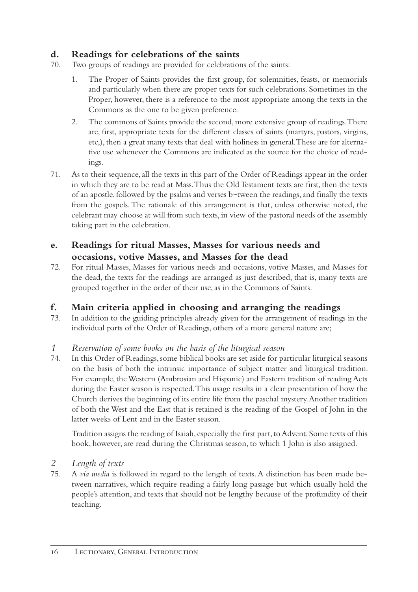### **d. Readings for celebrations of the saints**

- 70. Two groups of readings are provided for celebrations of the saints:
	- 1. The Proper of Saints provides the first group, for solemnities, feasts, or memorials and particularly when there are proper texts for such celebrations. Sometimes in the Proper, however, there is a reference to the most appropriate among the texts in the Commons as the one to be given preference.
	- 2. The commons of Saints provide the second, more extensive group of readings. There are, first, appropriate texts for the different classes of saints (martyrs, pastors, virgins, etc,), then a great many texts that deal with holiness in general. These are for alternative use whenever the Commons are indicated as the source for the choice of readings.
- 71. As to their sequence, all the texts in this part of the Order of Readings appear in the order in which they are to be read at Mass. Thus the Old Testament texts are first, then the texts of an apostle, followed by the psalms and verses b~tween the readings, and finally the texts from the gospels. The rationale of this arrangement is that, unless otherwise noted, the celebrant may choose at will from such texts, in view of the pastoral needs of the assembly taking part in the celebration.

### **e. Readings for ritual Masses, Masses for various needs and occasions, votive Masses, and Masses for the dead**

72. For ritual Masses, Masses for various needs and occasions, votive Masses, and Masses for the dead, the texts for the readings are arranged as just described, that is, many texts are grouped together in the order of their use, as in the Commons of Saints.

### **f. Main criteria applied in choosing and arranging the readings**

73. In addition to the guiding principles already given for the arrangement of readings in the individual parts of the Order of Readings, others of a more general nature are;

#### *1 Reservation of some books on the basis of the liturgical season*

74. In this Order of Readings, some biblical books are set aside for particular liturgical seasons on the basis of both the intrinsic importance of subject matter and liturgical tradition. For example, the Western (Ambrosian and Hispanic) and Eastern tradition of reading Acts during the Easter season is respected. This usage results in a clear presentation of how the Church derives the beginning of its entire life from the paschal mystery. Another tradition of both the West and the East that is retained is the reading of the Gospel of John in the latter weeks of Lent and in the Easter season.

Tradition assigns the reading of Isaiah, especially the first part, to Advent. Some texts of this book, however, are read during the Christmas season, to which 1 John is also assigned.

- *2 Length of texts*
- 75. A *via media* is followed in regard to the length of texts. A distinction has been made between narratives, which require reading a fairly long passage but which usually hold the people's attention, and texts that should not be lengthy because of the profundity of their teaching.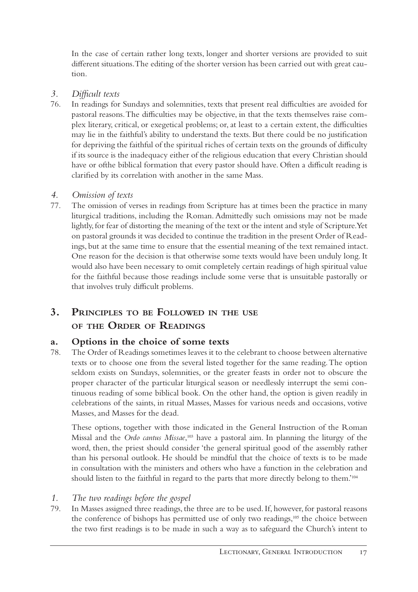In the case of certain rather long texts, longer and shorter versions are provided to suit different situations. The editing of the shorter version has been carried out with great caution.

#### *3. Difficult texts*

76. In readings for Sundays and solemnities, texts that present real difficulties are avoided for pastoral reasons. The difficulties may be objective, in that the texts themselves raise complex literary, critical, or exegetical problems; or, at least to a certain extent, the difficulties may lie in the faithful's ability to understand the texts. But there could be no justification for depriving the faithful of the spiritual riches of certain texts on the grounds of difficulty if its source is the inadequacy either of the religious education that every Christian should have or ofthe biblical formation that every pastor should have. Often a difficult reading is clarified by its correlation with another in the same Mass.

#### *4. Omission of texts*

77. The omission of verses in readings from Scripture has at times been the practice in many liturgical traditions, including the Roman. Admittedly such omissions may not be made lightly, for fear of distorting the meaning of the text or the intent and style of Scripture. Yet on pastoral grounds it was decided to continue the tradition in the present Order of Readings, but at the same time to ensure that the essential meaning of the text remained intact. One reason for the decision is that otherwise some texts would have been unduly long. It would also have been necessary to omit completely certain readings of high spiritual value for the faithful because those readings include some verse that is unsuitable pastorally or that involves truly difficult problems.

# **3. PRINCIPLES TO BE FOLLOWED IN THE USE OF THE ORDER OF READINGS**

### **a. Options in the choice of some texts**

78. The Order of Readings sometimes leaves it to the celebrant to choose between alternative texts or to choose one from the several listed together for the same reading. The option seldom exists on Sundays, solemnities, or the greater feasts in order not to obscure the proper character of the particular liturgical season or needlessly interrupt the semi continuous reading of some biblical book. On the other hand, the option is given readily in celebrations of the saints, in ritual Masses, Masses for various needs and occasions, votive Masses, and Masses for the dead.

These options, together with those indicated in the General Instruction of the Roman Missal and the *Ordo cantus Missae*,<sup>103</sup> have a pastoral aim. In planning the liturgy of the word, then, the priest should consider 'the general spiritual good of the assembly rather than his personal outlook. He should be mindful that the choice of texts is to be made in consultation with the ministers and others who have a function in the celebration and should listen to the faithful in regard to the parts that more directly belong to them.'<sup>104</sup>

### *1. The two readings before the gospel*

79. In Masses assigned three readings, the three are to be used. If, however, for pastoral reasons the conference of bishops has permitted use of only two readings,<sup>105</sup> the choice between the two first readings is to be made in such a way as to safeguard the Church's intent to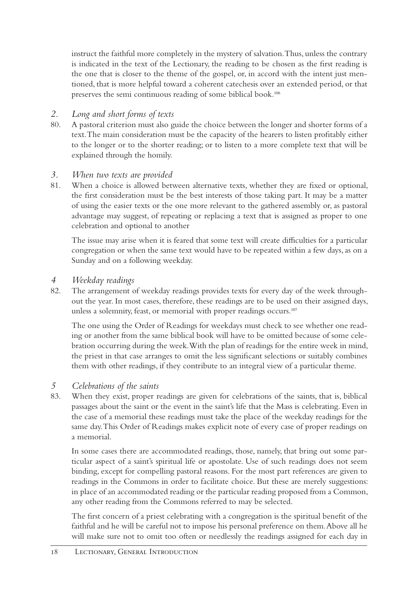instruct the faithful more completely in the mystery of salvation. Thus, unless the contrary is indicated in the text of the Lectionary, the reading to be chosen as the first reading is the one that is closer to the theme of the gospel, or, in accord with the intent just mentioned, that is more helpful toward a coherent catechesis over an extended period, or that preserves the semi continuous reading of some biblical book.<sup>106</sup>

#### *2. Long and short forms of texts*

80. A pastoral criterion must also guide the choice between the longer and shorter forms of a text. The main consideration must be the capacity of the hearers to listen profitably either to the longer or to the shorter reading; or to listen to a more complete text that will be explained through the homily.

#### *3. When two texts are provided*

81. When a choice is allowed between alternative texts, whether they are fixed or optional, the first consideration must be the best interests of those taking part. It may be a matter of using the easier texts or the one more relevant to the gathered assembly or, as pastoral advantage may suggest, of repeating or replacing a text that is assigned as proper to one celebration and optional to another

The issue may arise when it is feared that some text will create difficulties for a particular congregation or when the same text would have to be repeated within a few days, as on a Sunday and on a following weekday.

#### *4 Weekday readings*

82. The arrangement of weekday readings provides texts for every day of the week throughout the year. In most cases, therefore, these readings are to be used on their assigned days, unless a solemnity, feast, or memorial with proper readings occurs.<sup>107</sup>

The one using the Order of Readings for weekdays must check to see whether one reading or another from the same biblical book will have to be omitted because of some celebration occurring during the week. With the plan of readings for the entire week in mind, the priest in that case arranges to omit the less significant selections or suitably combines them with other readings, if they contribute to an integral view of a particular theme.

#### *5 Celebrations of the saints*

83. When they exist, proper readings are given for celebrations of the saints, that is, biblical passages about the saint or the event in the saint's life that the Mass is celebrating. Even in the case of a memorial these readings must take the place of the weekday readings for the same day. This Order of Readings makes explicit note of every case of proper readings on a memorial.

In some cases there are accommodated readings, those, namely, that bring out some particular aspect of a saint's spiritual life or apostolate. Use of such readings does not seem binding, except for compelling pastoral reasons. For the most part references are given to readings in the Commons in order to facilitate choice. But these are merely suggestions: in place of an accommodated reading or the particular reading proposed from a Common, any other reading from the Commons referred to may be selected.

The first concern of a priest celebrating with a congregation is the spiritual benefit of the faithful and he will be careful not to impose his personal preference on them. Above all he will make sure not to omit too often or needlessly the readings assigned for each day in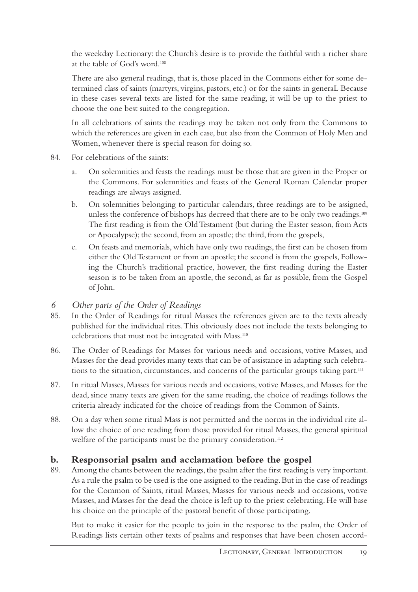the weekday Lectionary: the Church's desire is to provide the faithful with a richer share at the table of God's word.<sup>108</sup>

There are also general readings, that is, those placed in the Commons either for some determined class of saints (martyrs, virgins, pastors, etc.) or for the saints in generaL Because in these cases several texts are listed for the same reading, it will be up to the priest to choose the one best suited to the congregation.

In all celebrations of saints the readings may be taken not only from the Commons to which the references are given in each case, but also from the Common of Holy Men and Women, whenever there is special reason for doing so.

- 84. For celebrations of the saints:
	- a. On solemnities and feasts the readings must be those that are given in the Proper or the Commons. For solemnities and feasts of the General Roman Calendar proper readings are always assigned.
	- b. On solemnities belonging to particular calendars, three readings are to be assigned, unless the conference of bishops has decreed that there are to be only two readings.<sup>109</sup> The first reading is from the Old Testament (but during the Easter season, from Acts or Apocalypse); the second, from an apostle; the third, from the gospels,
	- c. On feasts and memorials, which have only two readings, the first can be chosen from either the Old Testament or from an apostle; the second is from the gospels, Following the Church's traditional practice, however, the first reading during the Easter season is to be taken from an apostle, the second, as far as possible, from the Gospel of John.

#### *6 Other parts of the Order of Readings*

- 85. In the Order of Readings for ritual Masses the references given are to the texts already published for the individual rites. This obviously does not include the texts belonging to celebrations that must not be integrated with Mass.<sup>110</sup>
- 86. The Order of Readings for Masses for various needs and occasions, votive Masses, and Masses for the dead provides many texts that can be of assistance in adapting such celebrations to the situation, circumstances, and concerns of the particular groups taking part.<sup>111</sup>
- 87. In ritual Masses, Masses for various needs and occasions, votive Masses, and Masses for the dead, since many texts are given for the same reading, the choice of readings follows the criteria already indicated for the choice of readings from the Common of Saints.
- 88. On a day when some ritual Mass is not permitted and the norms in the individual rite allow the choice of one reading from those provided for ritual Masses, the general spiritual welfare of the participants must be the primary consideration.<sup>112</sup>

#### **b. Responsorial psalm and acclamation before the gospel**

89. Among the chants between the readings, the psalm after the first reading is very important. As a rule the psalm to be used is the one assigned to the reading. But in the case of readings for the Common of Saints, ritual Masses, Masses for various needs and occasions, votive Masses, and Masses for the dead the choice is left up to the priest celebrating. He will base his choice on the principle of the pastoral benefit of those participating.

But to make it easier for the people to join in the response to the psalm, the Order of Readings lists certain other texts of psalms and responses that have been chosen accord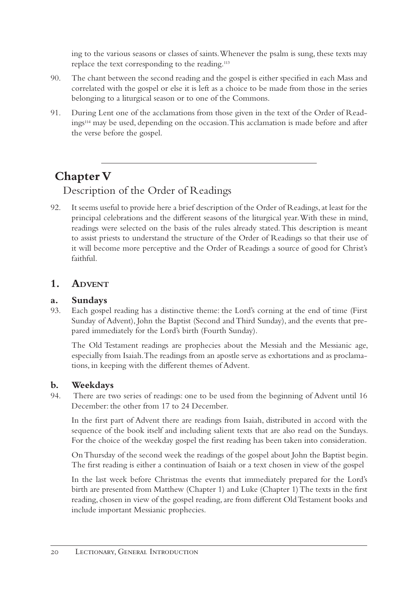ing to the various seasons or classes of saints. Whenever the psalm is sung, these texts may replace the text corresponding to the reading.<sup>113</sup>

- 90. The chant between the second reading and the gospel is either specified in each Mass and correlated with the gospel or else it is left as a choice to be made from those in the series belonging to a liturgical season or to one of the Commons.
- 91. During Lent one of the acclamations from those given in the text of the Order of Readings114 may be used, depending on the occasion. This acclamation is made before and after the verse before the gospel.

# **Chapter V**

Description of the Order of Readings

92. It seems useful to provide here a brief description of the Order of Readings, at least for the principal celebrations and the different seasons of the liturgical year. With these in mind, readings were selected on the basis of the rules already stated. This description is meant to assist priests to understand the structure of the Order of Readings so that their use of it will become more perceptive and the Order of Readings a source of good for Christ's faithful.

### **1. ADVENT**

#### **a. Sundays**

93. Each gospel reading has a distinctive theme: the Lord's corning at the end of time (First Sunday of Advent), John the Baptist (Second and Third Sunday), and the events that prepared immediately for the Lord's birth (Fourth Sunday).

The Old Testament readings are prophecies about the Messiah and the Messianic age, especially from Isaiah. The readings from an apostle serve as exhortations and as proclamations, in keeping with the different themes of Advent.

### **b. Weekdays**

94. There are two series of readings: one to be used from the beginning of Advent until 16 December: the other from 17 to 24 December.

In the first part of Advent there are readings from Isaiah, distributed in accord with the sequence of the book itself and including salient texts that are also read on the Sundays. For the choice of the weekday gospel the first reading has been taken into consideration.

On Thursday of the second week the readings of the gospel about John the Baptist begin. The first reading is either a continuation of Isaiah or a text chosen in view of the gospel

In the last week before Christmas the events that immediately prepared for the Lord's birth are presented from Matthew (Chapter 1) and Luke (Chapter 1) The texts in the first reading, chosen in view of the gospel reading, are from different Old Testament books and include important Messianic prophecies.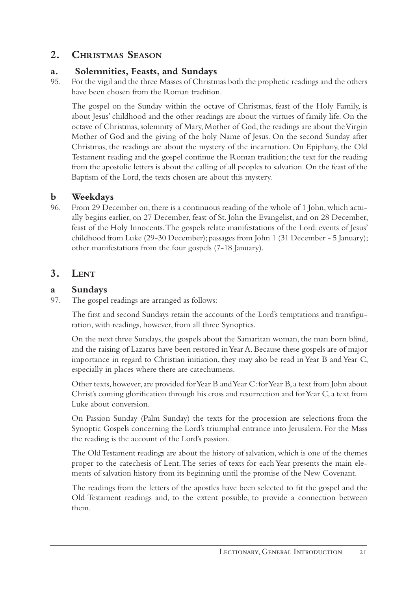## **2. CHRISTMAS SEASON**

### **a. Solemnities, Feasts, and Sundays**

95. For the vigil and the three Masses of Christmas both the prophetic readings and the others have been chosen from the Roman tradition.

The gospel on the Sunday within the octave of Christmas, feast of the Holy Family, is about Jesus' childhood and the other readings are about the virtues of family life. On the octave of Christmas, solemnity of Mary, Mother of God, the readings are about the Virgin Mother of God and the giving of the holy Name of Jesus. On the second Sunday after Christmas, the readings are about the mystery of the incarnation. On Epiphany, the Old Testament reading and the gospel continue the Roman tradition; the text for the reading from the apostolic letters is about the calling of all peoples to salvation. On the feast of the Baptism of the Lord, the texts chosen are about this mystery.

### **b Weekdays**

96. From 29 December on, there is a continuous reading of the whole of 1 John, which actually begins earlier, on 27 December, feast of St. John the Evangelist, and on 28 December, feast of the Holy Innocents. The gospels relate manifestations of the Lord: events of Jesus' childhood from Luke (29-30 December); passages from John 1 (31 December - 5 January); other manifestations from the four gospels (7-18 January).

### **3. LENT**

### **a Sundays**

97. The gospel readings are arranged as follows:

The first and second Sundays retain the accounts of the Lord's temptations and transfiguration, with readings, however, from all three Synoptics.

On the next three Sundays, the gospels about the Samaritan woman, the man born blind, and the raising of Lazarus have been restored in Year A. Because these gospels are of major importance in regard to Christian initiation, they may also be read in Year B and Year C, especially in places where there are catechumens.

Other texts, however, are provided for Year B and Year C: for Year B, a text from John about Christ's coming glorification through his cross and resurrection and for Year C, a text from Luke about conversion.

On Passion Sunday (Palm Sunday) the texts for the procession are selections from the Synoptic Gospels concerning the Lord's triumphal entrance into Jerusalem. For the Mass the reading is the account of the Lord's passion.

The Old Testament readings are about the history of salvation, which is one of the themes proper to the catechesis of Lent. The series of texts for each Year presents the main elements of salvation history from its beginning until the promise of the New Covenant.

The readings from the letters of the apostles have been selected to fit the gospel and the Old Testament readings and, to the extent possible, to provide a connection between them.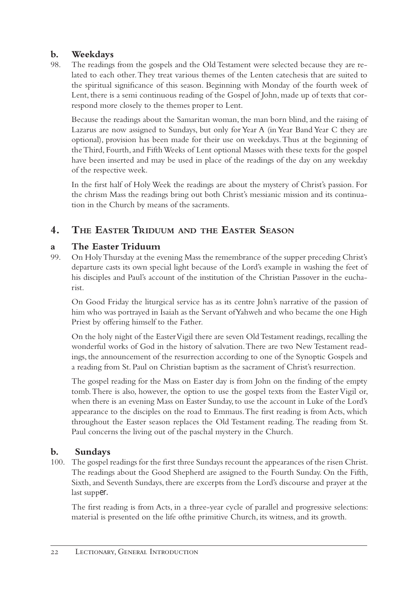### **b. Weekdays**

98. The readings from the gospels and the Old Testament were selected because they are related to each other. They treat various themes of the Lenten catechesis that are suited to the spiritual significance of this season. Beginning with Monday of the fourth week of Lent, there is a semi continuous reading of the Gospel of John, made up of texts that correspond more closely to the themes proper to Lent.

Because the readings about the Samaritan woman, the man born blind, and the raising of Lazarus are now assigned to Sundays, but only for Year A (in Year Band Year C they are optional), provision has been made for their use on weekdays. Thus at the beginning of the Third, Fourth, and Fifth Weeks of Lent optional Masses with these texts for the gospel have been inserted and may be used in place of the readings of the day on any weekday of the respective week.

In the first half of Holy Week the readings are about the mystery of Christ's passion. For the chrism Mass the readings bring out both Christ's messianic mission and its continuation in the Church by means of the sacraments.

# **4. THE EASTER TRIDUUM AND THE EASTER SEASON**

### **a The Easter Triduum**

99. On Holy Thursday at the evening Mass the remembrance of the supper preceding Christ's departure casts its own special light because of the Lord's example in washing the feet of his disciples and Paul's account of the institution of the Christian Passover in the eucharist.

On Good Friday the liturgical service has as its centre John's narrative of the passion of him who was portrayed in Isaiah as the Servant of Yahweh and who became the one High Priest by offering himself to the Father.

On the holy night of the Easter Vigil there are seven Old Testament readings, recalling the wonderful works of God in the history of salvation. There are two New Testament readings, the announcement of the resurrection according to one of the Synoptic Gospels and a reading from St. Paul on Christian baptism as the sacrament of Christ's resurrection.

The gospel reading for the Mass on Easter day is from John on the finding of the empty tomb. There is also, however, the option to use the gospel texts from the Easter Vigil or, when there is an evening Mass on Easter Sunday, to use the account in Luke of the Lord's appearance to the disciples on the road to Emmaus. The first reading is from Acts, which throughout the Easter season replaces the Old Testament reading. The reading from St. Paul concerns the living out of the paschal mystery in the Church.

### **b. Sundays**

100. The gospel readings for the first three Sundays recount the appearances of the risen Christ. The readings about the Good Shepherd are assigned to the Fourth Sunday. On the Fifth, Sixth, and Seventh Sundays, there are excerpts from the Lord's discourse and prayer at the last supper.

The first reading is from Acts, in a three-year cycle of parallel and progressive selections: material is presented on the life ofthe primitive Church, its witness, and its growth.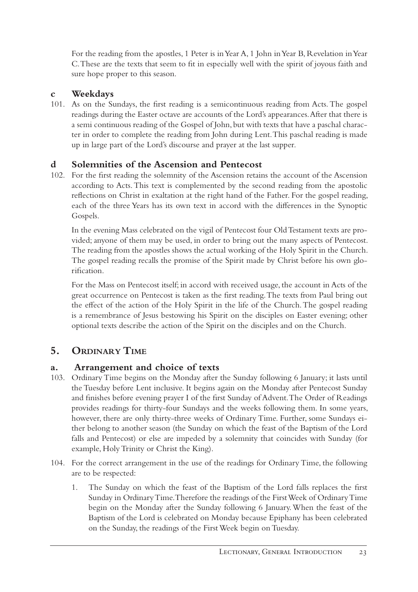For the reading from the apostles, 1 Peter is in Year A, 1 John in Year B, Revelation in Year C. These are the texts that seem to fit in especially well with the spirit of joyous faith and sure hope proper to this season.

### **c Weekdays**

101. As on the Sundays, the first reading is a semicontinuous reading from Acts. The gospel readings during the Easter octave are accounts of the Lord's appearances. After that there is a semi continuous reading of the Gospel of John, but with texts that have a paschal character in order to complete the reading from John during Lent. This paschal reading is made up in large part of the Lord's discourse and prayer at the last supper.

### **d Solemnities of the Ascension and Pentecost**

102. For the first reading the solemnity of the Ascension retains the account of the Ascension according to Acts. This text is complemented by the second reading from the apostolic reflections on Christ in exaltation at the right hand of the Father. For the gospel reading, each of the three Years has its own text in accord with the differences in the Synoptic Gospels.

In the evening Mass celebrated on the vigil of Pentecost four Old Testament texts are provided; anyone of them may be used, in order to bring out the many aspects of Pentecost. The reading from the apostles shows the actual working of the Holy Spirit in the Church. The gospel reading recalls the promise of the Spirit made by Christ before his own glorification.

For the Mass on Pentecost itself; in accord with received usage, the account in Acts of the great occurrence on Pentecost is taken as the first reading. The texts from Paul bring out the effect of the action of the Holy Spirit in the life of the Church. The gospel reading is a remembrance of Jesus bestowing his Spirit on the disciples on Easter evening; other optional texts describe the action of the Spirit on the disciples and on the Church.

# **5. ORDINARY TIME**

### **a. Arrangement and choice of texts**

- 103. Ordinary Time begins on the Monday after the Sunday following 6 January; it lasts until the Tuesday before Lent inclusive. It begins again on the Monday after Pentecost Sunday and finishes before evening prayer I of the first Sunday of Advent. The Order of Readings provides readings for thirty-four Sundays and the weeks following them. In some years, however, there are only thirty-three weeks of Ordinary Time. Further, some Sundays either belong to another season (the Sunday on which the feast of the Baptism of the Lord falls and Pentecost) or else are impeded by a solemnity that coincides with Sunday (for example, Holy Trinity or Christ the King).
- 104. For the correct arrangement in the use of the readings for Ordinary Time, the following are to be respected:
	- 1. The Sunday on which the feast of the Baptism of the Lord falls replaces the first Sunday in Ordinary Time. Therefore the readings of the First Week of Ordinary Time begin on the Monday after the Sunday following 6 January. When the feast of the Baptism of the Lord is celebrated on Monday because Epiphany has been celebrated on the Sunday, the readings of the First Week begin on Tuesday.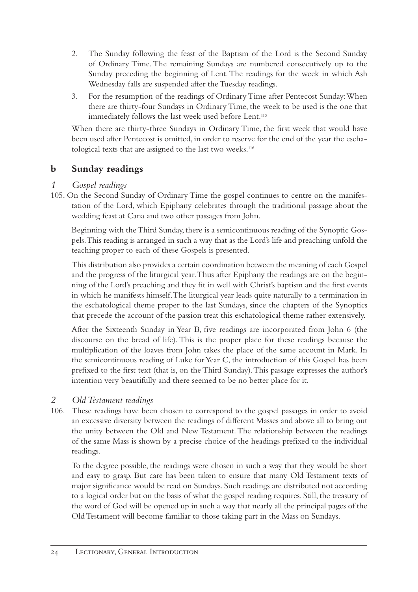- 2. The Sunday following the feast of the Baptism of the Lord is the Second Sunday of Ordinary Time. The remaining Sundays are numbered consecutively up to the Sunday preceding the beginning of Lent. The readings for the week in which Ash Wednesday falls are suspended after the Tuesday readings.
- 3. For the resumption of the readings of Ordinary Time after Pentecost Sunday: When there are thirty-four Sundays in Ordinary Time, the week to be used is the one that immediately follows the last week used before Lent.<sup>115</sup>

When there are thirty-three Sundays in Ordinary Time, the first week that would have been used after Pentecost is omitted, in order to reserve for the end of the year the eschatological texts that are assigned to the last two weeks.<sup>116</sup>

### **b Sunday readings**

#### *1 Gospel readings*

105. On the Second Sunday of Ordinary Time the gospel continues to centre on the manifestation of the Lord, which Epiphany celebrates through the traditional passage about the wedding feast at Cana and two other passages from John.

Beginning with the Third Sunday, there is a semicontinuous reading of the Synoptic Gospels. This reading is arranged in such a way that as the Lord's life and preaching unfold the teaching proper to each of these Gospels is presented.

This distribution also provides a certain coordination between the meaning of each Gospel and the progress of the liturgical year. Thus after Epiphany the readings are on the beginning of the Lord's preaching and they fit in well with Christ's baptism and the first events in which he manifests himself. The liturgical year leads quite naturally to a termination in the eschatological theme proper to the last Sundays, since the chapters of the Synoptics that precede the account of the passion treat this eschatological theme rather extensively.

After the Sixteenth Sunday in Year B, five readings are incorporated from John 6 (the discourse on the bread of life). This is the proper place for these readings because the multiplication of the loaves from John takes the place of the same account in Mark. In the semicontinuous reading of Luke for Year C, the introduction of this Gospel has been prefixed to the first text (that is, on the Third Sunday). This passage expresses the author's intention very beautifully and there seemed to be no better place for it.

### *2 Old Testament readings*

106. These readings have been chosen to correspond to the gospel passages in order to avoid an excessive diversity between the readings of different Masses and above all to bring out the unity between the Old and New Testament. The relationship between the readings of the same Mass is shown by a precise choice of the headings prefixed to the individual readings.

To the degree possible, the readings were chosen in such a way that they would be short and easy to grasp. But care has been taken to ensure that many Old Testament texts of major significance would be read on Sundays. Such readings are distributed not according to a logical order but on the basis of what the gospel reading requires. Still, the treasury of the word of God will be opened up in such a way that nearly all the principal pages of the Old Testament will become familiar to those taking part in the Mass on Sundays.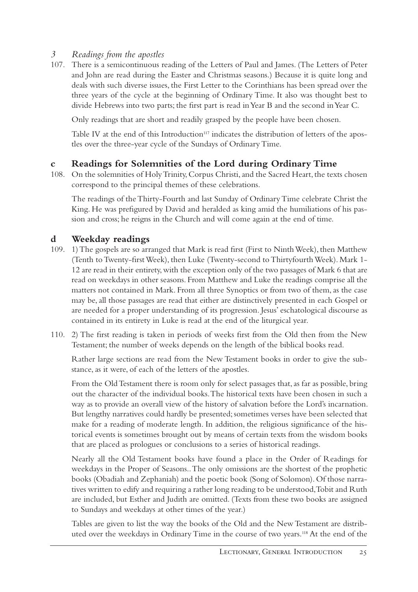#### *3 Readings from the apostles*

107. There is a semicontinuous reading of the Letters of Paul and James. (The Letters of Peter and John are read during the Easter and Christmas seasons.) Because it is quite long and deals with such diverse issues, the First Letter to the Corinthians has been spread over the three years of the cycle at the beginning of Ordinary Time. It also was thought best to divide Hebrews into two parts; the first part is read in Year B and the second in Year C.

Only readings that are short and readily grasped by the people have been chosen.

Table IV at the end of this Introduction<sup>117</sup> indicates the distribution of letters of the apostles over the three-year cycle of the Sundays of Ordinary Time.

#### **c Readings for Solemnities of the Lord during Ordinary Time**

108. On the solemnities of Holy Trinity, Corpus Christi, and the Sacred Heart, the texts chosen correspond to the principal themes of these celebrations.

The readings of the Thirty-Fourth and last Sunday of Ordinary Time celebrate Christ the King. He was prefigured by David and heralded as king amid the humiliations of his passion and cross; he reigns in the Church and will come again at the end of time.

#### **d Weekday readings**

- 109. 1) The gospels are so arranged that Mark is read first (First to Ninth Week), then Matthew (Tenth to Twenty-first Week), then Luke (Twenty-second to Thirtyfourth Week). Mark 1- 12 are read in their entirety, with the exception only of the two passages of Mark 6 that are read on weekdays in other seasons. From Matthew and Luke the readings comprise all the matters not contained in Mark. From all three Synoptics or from two of them, as the case may be, all those passages are read that either are distinctively presented in each Gospel or are needed for a proper understanding of its progression. Jesus' eschatological discourse as contained in its entirety in Luke is read at the end of the liturgical year.
- 110. 2) The first reading is taken in periods of weeks first from the Old then from the New Testament; the number of weeks depends on the length of the biblical books read.

Rather large sections are read from the New Testament books in order to give the substance, as it were, of each of the letters of the apostles.

From the Old Testament there is room only for select passages that, as far as possible, bring out the character of the individual books. The historical texts have been chosen in such a way as to provide an overall view of the history of salvation before the Lord's incarnation. But lengthy narratives could hardly be presented; sometimes verses have been selected that make for a reading of moderate length. In addition, the religious significance of the historical events is sometimes brought out by means of certain texts from the wisdom books that are placed as prologues or conclusions to a series of historical readings.

Nearly all the Old Testament books have found a place in the Order of Readings for weekdays in the Proper of Seasons.. The only omissions are the shortest of the prophetic books (Obadiah and Zephaniah) and the poetic book (Song of Solomon). Of those narratives written to edify and requiring a rather long reading to be understood, Tobit and Ruth are included, but Esther and Judith are omitted. (Texts from these two books are assigned to Sundays and weekdays at other times of the year.)

Tables are given to list the way the books of the Old and the New Testament are distributed over the weekdays in Ordinary Time in the course of two years.118 At the end of the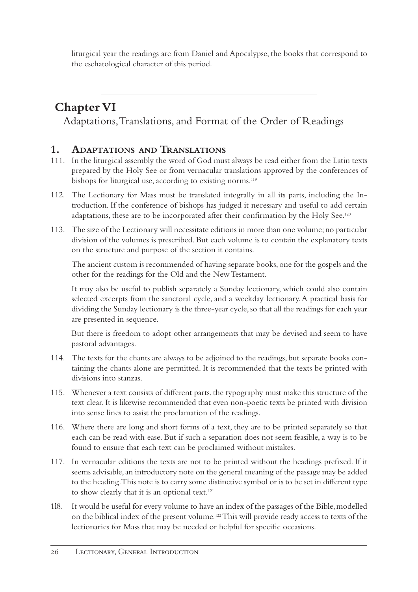liturgical year the readings are from Daniel and Apocalypse, the books that correspond to the eschatological character of this period.

# **Chapter VI**

Adaptations, Translations, and Format of the Order of Readings

### **1. ADAPTATIONS AND TRANSLATIONS**

- 111. In the liturgical assembly the word of God must always be read either from the Latin texts prepared by the Holy See or from vernacular translations approved by the conferences of bishops for liturgical use, according to existing norms.<sup>119</sup>
- 112. The Lectionary for Mass must be translated integrally in all its parts, including the Introduction. If the conference of bishops has judged it necessary and useful to add certain adaptations, these are to be incorporated after their confirmation by the Holy See.<sup>120</sup>
- 113. The size of the Lectionary will necessitate editions in more than one volume; no particular division of the volumes is prescribed. But each volume is to contain the explanatory texts on the structure and purpose of the section it contains.

The ancient custom is recommended of having separate books, one for the gospels and the other for the readings for the Old and the New Testament.

It may also be useful to publish separately a Sunday lectionary, which could also contain selected excerpts from the sanctoral cycle, and a weekday lectionary. A practical basis for dividing the Sunday lectionary is the three-year cycle, so that all the readings for each year are presented in sequence.

But there is freedom to adopt other arrangements that may be devised and seem to have pastoral advantages.

- 114. The texts for the chants are always to be adjoined to the readings, but separate books containing the chants alone are permitted. It is recommended that the texts be printed with divisions into stanzas.
- 115. Whenever a text consists of different parts, the typography must make this structure of the text clear. It is likewise recommended that even non-poetic texts be printed with division into sense lines to assist the proclamation of the readings.
- 116. Where there are long and short forms of a text, they are to be printed separately so that each can be read with ease. But if such a separation does not seem feasible, a way is to be found to ensure that each text can be proclaimed without mistakes.
- 117. In vernacular editions the texts are not to be printed without the headings prefixed. If it seems advisable, an introductory note on the general meaning of the passage may be added to the heading. This note is to carry some distinctive symbol or is to be set in different type to show clearly that it is an optional text.<sup>121</sup>
- 1l8. It would be useful for every volume to have an index of the passages of the Bible, modelled on the biblical index of the present volume.122 This will provide ready access to texts of the lectionaries for Mass that may be needed or helpful for specific occasions.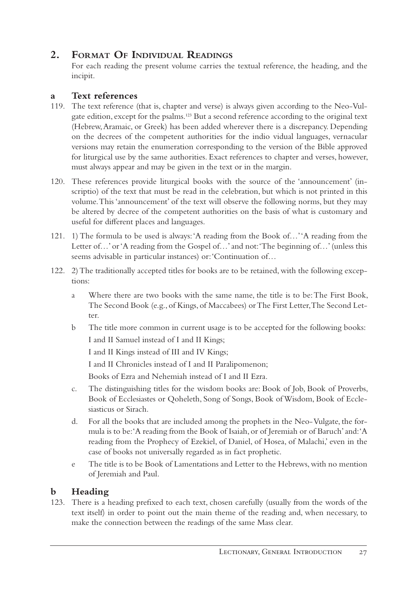## **2. FORMAT OF INDIVIDUAL READINGS**

For each reading the present volume carries the textual reference, the heading, and the incipit.

### **a Text references**

- 119. The text reference (that is, chapter and verse) is always given according to the Neo-Vulgate edition, except for the psalms.123 But a second reference according to the original text (Hebrew, Aramaic, or Greek) has been added wherever there is a discrepancy. Depending on the decrees of the competent authorities for the indio vidual languages, vernacular versions may retain the enumeration corresponding to the version of the Bible approved for liturgical use by the same authorities. Exact references to chapter and verses, however, must always appear and may be given in the text or in the margin.
- 120. These references provide liturgical books with the source of the 'announcement' (inscriptio) of the text that must be read in the celebration, but which is not printed in this volume. This 'announcement' of the text will observe the following norms, but they may be altered by decree of the competent authorities on the basis of what is customary and useful for different places and languages.
- 121. 1) The formula to be used is always: 'A reading from the Book of…' 'A reading from the Letter of…' or 'A reading from the Gospel of…' and not: 'The beginning of…' (unless this seems advisable in particular instances) or: 'Continuation of…
- 122. 2) The traditionally accepted titles for books are to be retained, with the following exceptions:
	- a Where there are two books with the same name, the title is to be: The First Book, The Second Book (e.g., of Kings, of Maccabees) or The First Letter, The Second Letter.
	- b The title more common in current usage is to be accepted for the following books: I and II Samuel instead of I and II Kings;

I and II Kings instead of III and IV Kings;

I and II Chronicles instead of I and II Paralipomenon;

Books of Ezra and Nehemiah instead of I and II Ezra.

- c. The distinguishing titles for the wisdom books are: Book of Job, Book of Proverbs, Book of Ecclesiastes or Qoheleth, Song of Songs, Book of Wisdom, Book of Ecclesiasticus or Sirach.
- d. For all the books that are included among the prophets in the Neo- Vulgate, the formula is to be: 'A reading from the Book of Isaiah, or of Jeremiah or of Baruch' and: 'A reading from the Prophecy of Ezekiel, of Daniel, of Hosea, of Malachi,' even in the case of books not universally regarded as in fact prophetic.
- e The title is to be Book of Lamentations and Letter to the Hebrews, with no mention of Jeremiah and Paul.

### **b Heading**

123. There is a heading prefixed to each text, chosen carefully (usually from the words of the text itself) in order to point out the main theme of the reading and, when necessary, to make the connection between the readings of the same Mass clear.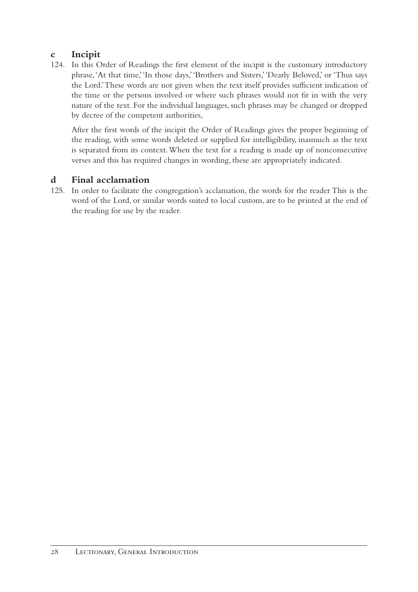### **c Incipit**

124. In this Order of Readings the first element of the incipit is the customary introductory phrase, 'At that time,' 'In those days,' 'Brothers and Sisters,' 'Dearly Beloved,' or 'Thus says the Lord.' These words are not given when the text itself provides sufficient indication of the time or the persons involved or where such phrases would not fit in with the very nature of the text. For the individual languages, such phrases may be changed or dropped by decree of the competent authorities,

After the first words of the incipit the Order of Readings gives the proper beginning of the reading, with some words deleted or supplied for intelligibility, inasmuch as the text is separated from its context. When the text for a reading is made up of nonconsecutive verses and this has required changes in wording, these are appropriately indicated.

#### **d Final acclamation**

125. In order to facilitate the congregation's acclamation, the words for the reader This is the word of the Lord, or similar words suited to local custom, are to be printed at the end of the reading for use by the reader.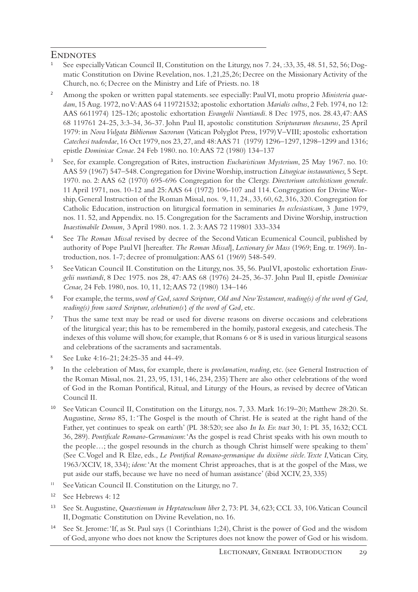#### **ENDNOTES**

- See especially Vatican Council II, Constitution on the Liturgy, nos 7.24, :33, 35, 48. 51, 52, 56; Dogmatic Constitution on Divine Revelation, nos. 1,21,25,26; Decree on the Missionary Activity of the Church, no. 6; Decree on the Ministry and Life of Priests. no. 18
- 2 Among the spoken or written papal statements. see especially: Paul VI, motu proprio *Ministeria quaedam*, 15 Aug. 1972, no V: AAS 64 119721532; apostolic exhortation *Marialis cultus*, 2 Feb. 1974, no 12: AAS 6611974) 125-126; apostolic exhortation *Evangelii Nuntiandi*. 8 Dec 1975, nos. 28.43,47: AAS 68 119761 24-25, 3:3-34, 36-37. John Paul II, apostolic constitution *Scripturarum thesaurus*, 25 April 1979: in *Nova Vulgata Bibliorum Sacrorum* (Vatican Polyglot Press, 1979) V–VIII; apostolic exhortation *Catechesi tradendae*, 16 Oct 1979, nos 23, 27, and 48: AAS 71 (1979) 1296–1297, 1298–1299 and 1316; epistle *Dominicae Cenae*. 24 Feb 1980. no. 10: AAS 72 (1980) 134–137
- <sup>3</sup> See, for example. Congregation of Rites, instruction *Eucharisticum Mysterium*, 25 May 1967. no. 10: AAS 59 (1967) 547–548. Congregation for Divine Worship, instruction *Liturgicae instaurationes,* 5 Sept. 1970. no. 2: AAS 62 (1970) 695-696 Congregation for the Clergy. *Directorium catechisticum generale*. 11 April 1971, nos. 10-12 and 25: AAS 64 (1972) 106-107 and 114. Congregation for Divine Worship, General Instruction of the Roman Missal, nos. 9, 11, 24., 33, 60, 62, 316, 320. Congregation for Catholic Education, instruction on liturgical formation in seminaries *In ecclesiasticam*, 3 .June 1979, nos. 11. 52, and Appendix. no. 15. Congregation for the Sacraments and Divine Worship, instruction *Inaestimabile Donum,* 3 April 1980. nos. 1. 2. 3: AAS 72 119801 333-334
- <sup>4</sup> See *The Roman Missal* revised by decree of the Second Vatican Ecumenical Council, published by authority of Pope Paul VI [hereafter. *The Roman Missal*], *Lectionary for Mass* (1969; Eng. tr. 1969). Introduction, nos. 1-7; decree of promulgation: AAS 61 (1969) 548-549.
- 5 See Vatican Council II. Constitution on the Liturgy, nos. 35, 56. Paul VI, apostolic exhortation *Evangelii nuntiandi*, 8 Dec 1975. nos 28, 47: AAS 68 (1976) 24-25, 36-37. John Paul II, epistle *Dominicae Cenae,* 24 Feb. 1980, nos. 10, 11, 12; AAS 72 (1980) 134–146
- <sup>6</sup> For example, the terms, *word of God, sacred Scripture, Old and New Testament, reading(s) of the word of God, reading(s)* from sacred Scripture, celebration(s) of the word of God, etc.
- <sup>7</sup> Thus the same text may be read or used for diverse reasons on diverse occasions and celebrations of the liturgical year; this has to be remembered in the homily, pastoral exegesis, and catechesis. The indexes of this volume will show, for example, that Romans 6 or 8 is used in various liturgical seasons and celebrations of the sacraments and sacramentals.
- 8 See Luke 4:16-21; 24:25-35 and 44-49.
- <sup>9</sup> In the celebration of Mass, for example, there is *proclamation*, *reading*, etc. (see General Instruction of the Roman Missal, nos. 21, 23, 95, 131, 146, 234, 235) There are also other celebrations of the word of God in the Roman Pontifical, Ritual, and Liturgy of the Hours, as revised by decree of Vatican Council II.
- <sup>10</sup> See Vatican Council II, Constitution on the Liturgy, nos. 7, 33. Mark 16:19–20; Matthew 28:20. St. Augustine, *Sermo* 85, 1: 'The Gospel is the mouth of Christ. He is seated at the right hand of the Father, yet continues to speak on earth' (PL 38:520; see also *In Io. Ev. tract* 30, 1: PL 35, 1632; CCL 36, 289). *Pontificale Romano-Germanicum*: 'As the gospel is read Christ speaks with his own mouth to the people…; the gospel resounds in the church as though Christ himself were speaking to them' (See C. Vogel and R Elze, eds., *Le Pontifical Romano-germanique du dixième siècle. Texte I*, Vatican City, 1963/XCIV, 18, 334); *idem*: 'At the moment Christ approaches, that is at the gospel of the Mass, we put aside our staffs, because we have no need of human assistance' (ibid XCIV, 23, 335)
- <sup>11</sup> See Vatican Council II. Constitution on the Liturgy, no 7.
- <sup>12</sup> See Hebrews 4: 12
- <sup>13</sup> See St. Augustine, *Quaestionum in Heptateuchum liber* 2, 73: PL 34, 623; CCL 33, 106. Vatican Council II, Dogmatic Constitution on Divine Revelation, no. 16.
- <sup>14</sup> See St. Jerome: 'If, as St. Paul says (1 Corinthians 1;24), Christ is the power of God and the wisdom of God, anyone who does not know the Scriptures does not know the power of God or his wisdom.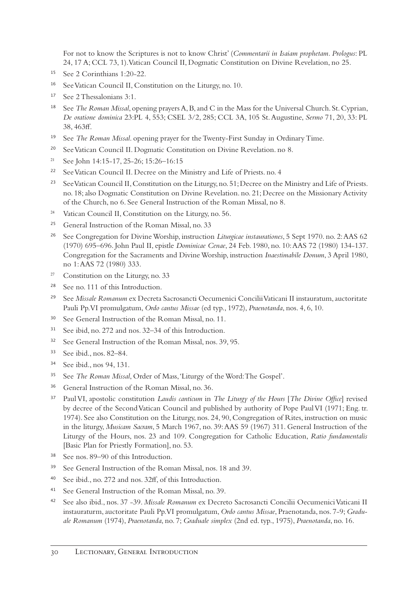For not to know the Scriptures is not to know Christ' (*Commentarii in Isaiam prophetam. Prologus*: PL 24, 17 A; CCL 73, 1). Vatican Council II, Dogmatic Constitution on Divine Revelation, no 25.

- <sup>15</sup> See 2 Corinthians 1:20-22.
- <sup>16</sup> See Vatican Council II, Constitution on the Liturgy, no. 10.
- <sup>17</sup> See 2 Thessalonians 3:1.
- <sup>18</sup> See *The Roman Missal*, opening prayers A, B, and C in the Mass for the Universal Church. St. Cyprian, *De oratione dominica* 23:PL 4, 553; CSEL 3/2, 285; CCL 3A, 105 St. Augustine, *Sermo* 71, 20, 33: PL 38, 463ff.
- <sup>19</sup> See *The Roman Missal*. opening prayer for the Twenty-First Sunday in Ordinary Time.
- <sup>20</sup> See Vatican Council II. Dogmatic Constitution on Divine Revelation. no 8.
- <sup>21</sup> See John 14:15-17, 25-26; 15:26–16:15
- <sup>22</sup> See Vatican Council II. Decree on the Ministry and Life of Priests. no. 4
- <sup>23</sup> See Vatican Council II, Constitution on the Liturgy, no. 51; Decree on the Ministry and Life of Priests. no. 18; also Dogmatic Constitution on Divine Revelation. no. 21; Decree on the Missionary Activity of the Church, no 6. See General Instruction of the Roman Missal, no 8.
- <sup>24</sup> Vatican Council II, Constitution on the Liturgy, no. 56.
- <sup>25</sup> General Instruction of the Roman Missal, no. 33
- <sup>26</sup> See Congregation for Divine Worship, instruction *Liturgicae instaurationes*, 5 Sept 1970. no. 2: AAS 62 (1970) 695–696. John Paul II, epistle *Dominicae Cenae*, 24 Feb. 1980, no. 10: AAS 72 (1980) 134-137. Congregation for the Sacraments and Divine Worship, instruction *Inaestimabile Donum*, 3 April 1980, no 1: AAS 72 (1980) 333.
- <sup>27</sup> Constitution on the Liturgy, no. 33
- <sup>28</sup> See no. 111 of this Introduction.
- <sup>29</sup> See *Missale Romanum* ex Decreta Sacrosancti Oecumenici Concilii Vaticani II instauratum, auctoritate Pauli Pp. VI promulgatum, *Ordo cantus Missae* (ed typ., 1972), *Praenotanda*, nos. 4, 6, 10.
- <sup>30</sup> See General Instruction of the Roman Missal, no. 11.
- <sup>31</sup> See ibid, no. 272 and nos. 32–34 of this Introduction.
- <sup>32</sup> See General Instruction of the Roman Missal, nos. 39, 95.
- <sup>33</sup> See ibid., nos. 82–84.
- <sup>34</sup> See ibid., nos 94, 131.
- <sup>35</sup> See *The Roman Missal*, Order of Mass, 'Liturgy of the Word: The Gospel'.
- <sup>36</sup> General Instruction of the Roman Missal, no. 36.
- <sup>37</sup> Paul VI, apostolic constitution *Laudis canticum* in *The Liturgy of the Hours* [*The Divine Office*] revised by decree of the Second Vatican Council and published by authority of Pope Paul VI (1971; Eng. tr. 1974). See also Constitution on the Liturgy, nos. 24, 90, Congregation of Rites, instruction on music in the liturgy, *Musicam Sacram*, 5 March 1967, no. 39: AAS 59 (1967) 311. General Instruction of the Liturgy of the Hours, nos. 23 and 109. Congregation for Catholic Education, *Ratio fundamentalis*  [Basic Plan for Priestly Formation], no. 53.
- <sup>38</sup> See nos. 89–90 of this Introduction.
- <sup>39</sup> See General Instruction of the Roman Missal, nos. 18 and 39.
- <sup>40</sup> See ibid., no. 272 and nos. 32ff, of this Introduction.
- <sup>41</sup> See General Instruction of the Roman Missal, no. 39.
- <sup>42</sup> See also ibid., nos. 37 -39. *Missale Romanum* ex Decreto Sacrosancti Concilii Oecumenici Vaticani II instauraturm, auctoritate Pauli Pp. VI promulgatum, *Ordo cantus Missae*, Praenotanda, nos. 7-9; *Graduale Romanum* (1974), *Praenotanda*, no. 7; *Graduale simplex* (2nd ed. typ., 1975), *Praenotanda*, no. 16.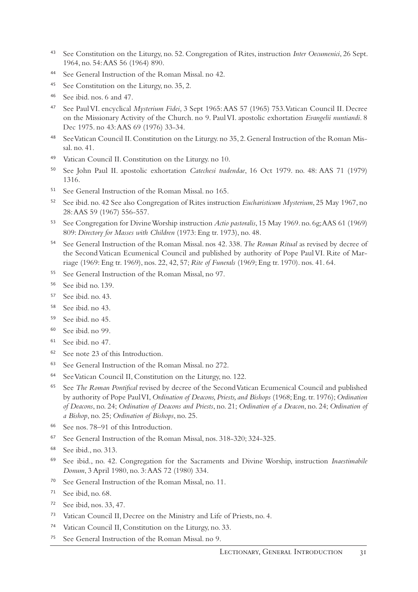- See Constitution on the Liturgy, no. 52. Congregation of Rites, instruction *Inter Oecumenici*, 26 Sept. 1964, no. 54: AAS 56 (1964) 890.
- See General Instruction of the Roman Missal. no 42.
- See Constitution on the Liturgy, no. 35, 2.
- See ibid. nos. 6 and 47.
- See Paul VI. encyclical *Mysterium Fidei,* 3 Sept 1965: AAS 57 (1965) 753. Vatican Council II. Decree on the Missionary Activity of the Church. no 9. Paul VI. apostolic exhortation *Evangelii nuntiandi*. 8 Dec 1975. no 43: AAS 69 (1976) 33-34.
- See Vatican Council II. Constitution on the Liturgy. no 35, 2. General Instruction of the Roman Missal. no. 41.
- Vatican Council II. Constitution on the Liturgy. no 10.
- See John Paul II. apostolic exhortation *Catechesi tradendae*, 16 Oct 1979. no. 48: AAS 71 (1979) 1316.
- See General Instruction of the Roman Missal. no 165.
- See ibid. no. 42 See also Congregation of Rites instruction *Eucharisticum Mysterium*, 25 May 1967, no 28: AAS 59 (1967) 556-557.
- See Congregation for Divine Worship instruction *Actio pastoralis*, 15 May 1969. no. 6g; AAS 61 (1969) 809: *Directory for Masses with Children* (1973: Eng tr. 1973), no. 48.
- See General Instruction of the Roman Missal. nos 42. 338. *The Roman Ritual* as revised by decree of the Second Vatican Ecumenical Council and published by authority of Pope Paul VI. Rite of Marriage (1969: Eng tr. 1969), nos. 22, 42, 57; *Rite of Funerals* (1969; Eng tr. 1970). nos. 41. 64.
- See General Instruction of the Roman Missal, no 97.
- See ibid no. 139.
- See ibid. no. 43.
- See ibid. no 43.
- See ibid. no 45.
- See ibid. no 99.
- See ibid. no 47.
- <sup>62</sup> See note 23 of this Introduction.
- See General Instruction of the Roman Missal. no 272.
- See Vatican Council II, Constitution on the Liturgy, no. 122.
- See *The Roman Pontifical* revised by decree of the Second Vatican Ecumenical Council and published by authority of Pope Paul VI, *Ordination of Deacons, Priests, and Bishops* (1968; Eng. tr. 1976); *Ordination of Deacons*, no. 24; *Ordination of Deacons and Priests*, no. 21; *Ordination of a Deacon*, no. 24; *Ordination of a Bishop*, no. 25; *Ordination of Bishops*, no. 25.
- See nos. 78–91 of this Introduction.
- See General Instruction of the Roman Missal, nos. 318-320; 324-325.
- See ibid., no. 313.
- See ibid., no. 42. Congregation for the Sacraments and Divine Worship, instruction *Inaestimabile Donum*, 3 April 1980, no. 3: AAS 72 (1980) 334.
- See General Instruction of the Roman Missal, no. 11.
- See ibid, no. 68.
- See ibid, nos. 33, 47.
- Vatican Council II, Decree on the Ministry and Life of Priests, no. 4.
- Vatican Council II, Constitution on the Liturgy, no. 33.
- See General Instruction of the Roman Missal. no 9.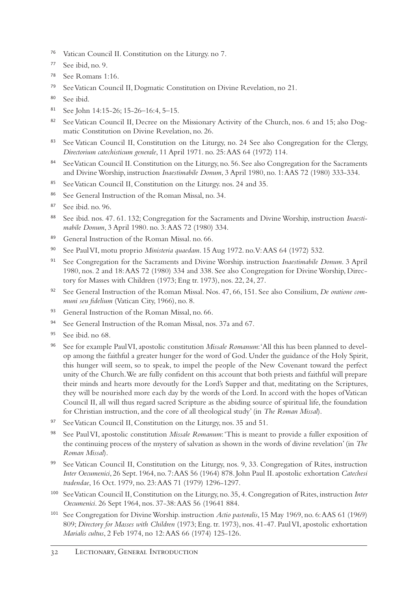- <sup>76</sup> Vatican Council II. Constitution on the Liturgy. no 7.
- <sup>77</sup> See ibid, no. 9.
- <sup>78</sup> See Romans 1:16.
- <sup>79</sup> See Vatican Council II, Dogmatic Constitution on Divine Revelation, no 21.
- <sup>80</sup> See ibid.
- <sup>81</sup> See John 14:15-26; 15-26–16:4, 5–15.
- <sup>82</sup> See Vatican Council II, Decree on the Missionary Activity of the Church, nos. 6 and 15; also Dogmatic Constitution on Divine Revelation, no. 26.
- <sup>83</sup> See Vatican Council II, Constitution on the Liturgy, no. 24 See also Congregation for the Clergy, *Directorium catechisticum generale*, 11 April 1971. no. 25: AAS 64 (1972) 114.
- 84 See Vatican Council II. Constitution on the Liturgy, no. 56. See also Congregation for the Sacraments and Divine Worship, instruction *Inaestimabile Donum*, 3 April 1980, no. 1: AAS 72 (1980) 333-334.
- <sup>85</sup> See Vatican Council II, Constitution on the Liturgy. nos. 24 and 35.
- <sup>86</sup> See General Instruction of the Roman Missal, no. 34.
- <sup>87</sup> See ibid. no. 96.
- 88 See ibid. nos. 47. 61. 132; Congregation for the Sacraments and Divine Worship, instruction *Inaestimabile Donum*, 3 April 1980. no. 3: AAS 72 (1980) 334.
- <sup>89</sup> General Instruction of the Roman Missal. no. 66.
- <sup>90</sup> See Paul VI, motu proprio *Ministeria quaedam*. 15 Aug 1972. no. V: AAS 64 (1972) 532.
- <sup>91</sup> See Congregation for the Sacraments and Divine Worship. instruction *Inaestimabile Donum*. 3 April 1980, nos. 2 and 18: AAS 72 (1980) 334 and 338. See also Congregation for Divine Worship, Directory for Masses with Children (1973; Eng tr. 1973), nos. 22, 24, 27.
- 92 See General Instruction of the Roman Missal. Nos. 47, 66, 151. See also Consilium, *De oratione communi seu fidelium* (Vatican City, 1966), no. 8.
- <sup>93</sup> General Instruction of the Roman Missal, no. 66.
- <sup>94</sup> See General Instruction of the Roman Missal, nos. 37a and 67.
- <sup>95</sup> See ibid. no 68.
- <sup>96</sup> See for example Paul VI, apostolic constitution *Missale Romanum*: 'All this has been planned to develop among the faithful a greater hunger for the word of God. Under the guidance of the Holy Spirit, this hunger will seem, so to speak, to impel the people of the New Covenant toward the perfect unity of the Church. We are fully confident on this account that both priests and faithful will prepare their minds and hearts more devoutly for the Lord's Supper and that, meditating on the Scriptures, they will be nourished more each day by the words of the Lord. In accord with the hopes of Vatican Council II, all will thus regard sacred Scripture as the abiding source of spiritual life, the foundation for Christian instruction, and the core of all theological study' (in *The Roman Missal*).
- <sup>97</sup> See Vatican Council II, Constitution on the Liturgy, nos. 35 and 51.
- <sup>98</sup> See Paul VI, apostolic constitution *Missale Romanum*: 'This is meant to provide a fuller exposition of the continuing process of the mystery of salvation as shown in the words of divine revelation' (in *The Roman Missal*).
- 99 See Vatican Council II, Constitution on the Liturgy, nos. 9, 33. Congregation of Rites, instruction *Inter Oecumenici*, 26 Sept. 1964, no. 7: AAS 56 (1964) 878. John Paul II. apostolic exhortation *Catechesi tradendae*, 16 Oct. 1979, no. 23: AAS 71 (1979) 1296-1297.
- <sup>100</sup> See Vatican Council II, Constitution on the Liturgy, no. 35, 4. Congregation of Rites, instruction *Inter Oecumenici*. 26 Sept 1964, nos. 37-38: AAS 56 (19641 884.
- <sup>101</sup> See Congregation for Divine Worship. instruction *Actio pastoralis*, 15 May 1969, no. 6: AAS 61 (1969) 809; *Directory for Masses with Children* (1973; Eng. tr. 1973), nos. 41-47. Paul VI, apostolic exhortation *Marialis cultus*, 2 Feb 1974, no 12: AAS 66 (1974) 125-126.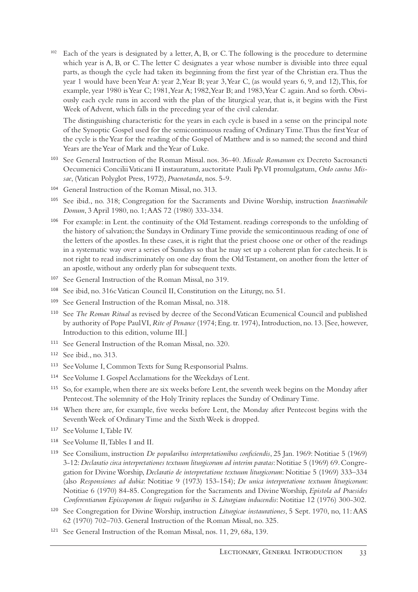$102$  Each of the years is designated by a letter, A, B, or C. The following is the procedure to determine which year is A, B, or C. The letter C designates a year whose number is divisible into three equal parts, as though the cycle had taken its beginning from the first year of the Christian era. Thus the year 1 would have been Year A: year 2, Year B; year 3, Year C, (as would years 6, 9, and 12), This, for example, year 1980 is Year C; 1981, Year A; 1982, Year B; and 1983, Year C again. And so forth. Obviously each cycle runs in accord with the plan of the liturgical year, that is, it begins with the First Week of Advent, which falls in the preceding year of the civil calendar.

 The distinguishing characteristic for the years in each cycle is based in a sense on the principal note of the Synoptic Gospel used for the semicontinuous reading of Ordinary Time. Thus the first Year of the cycle is the Year for the reading of the Gospel of Matthew and is so named; the second and third Years are the Year of Mark and the Year of Luke.

- <sup>103</sup> See General Instruction of the Roman Missal. nos. 36-40. *Missale Romanum* ex Decreto Sacrosancti Oecumenici Concilii Vaticani II instauratum, auctoritate Pauli Pp. VI promulgatum, *Ordo cantus Missae*, (Vatican Polyglot Press, 1972), *Praenotanda*, nos. 5-9.
- <sup>104</sup> General Instruction of the Roman Missal, no. 313.
- <sup>105</sup> See ibid., no. 318; Congregation for the Sacraments and Divine Worship, instruction *Inaestimabile Donum*, 3 April 1980, no. 1; AAS 72 (1980) 333-334.
- <sup>106</sup> For example: in Lent. the continuity of the Old Testament. readings corresponds to the unfolding of the history of salvation; the Sundays in Ordinary Time provide the semicontinuous reading of one of the letters of the apostles. In these cases, it is right that the priest choose one or other of the readings in a systematic way over a series of Sundays so that he may set up a coherent plan for catechesis. It is not right to read indiscriminately on one day from the Old Testament, on another from the letter of an apostle, without any orderly plan for subsequent texts.
- <sup>107</sup> See General Instruction of the Roman Missal, no 319.
- <sup>108</sup> See ibid, no. 316c Vatican Council II, Constitution on the Liturgy, no. 51.
- <sup>109</sup> See General Instruction of the Roman Missal, no. 318.
- <sup>110</sup> See *The Roman Ritual* as revised by decree of the Second Vatican Ecumenical Council and published by authority of Pope Paul VI, *Rite of Penance* (1974; Eng. tr. 1974), Introduction, no. 13. [See, however, Introduction to this edition, volume III.]
- <sup>111</sup> See General Instruction of the Roman Missal, no. 320.
- <sup>112</sup> See ibid., no. 313.
- <sup>113</sup> See Volume I, Common Texts for Sung Responsorial Psalms.
- <sup>114</sup> See Volume I. Gospel Acclamations for the Weekdays of Lent.
- <sup>115</sup> So, for example, when there are six weeks before Lent, the seventh week begins on the Monday after Pentecost. The solemnity of the Holy Trinity replaces the Sunday of Ordinary Time.
- <sup>116</sup> When there are, for example, five weeks before Lent, the Monday after Pentecost begins with the Seventh Week of Ordinary Time and the Sixth Week is dropped.
- <sup>117</sup> See Volume I, Table IV.
- <sup>118</sup> See Volume II, Tables I and II.
- <sup>119</sup> See Consilium, instruction *De popularibus interpretationibus conficiendis*, 25 Jan. 1969: Notitiae 5 (1969) 3-12: *Declaratio circa interpretationes textuum liturgicorum ad interim paratas*: Notitiae 5 (1969) 69. Congregation for Divine Worship, *Declaratio de interpretatione textuum liturgicorum*: Notitiae 5 (1969) 333–334 (also *Responsiones ad dubia*: Notitiae 9 (1973) 153-154); *De unica interpretatione textuum liturgicorum*: Notitiae 6 (1970) 84-85. Congregation for the Sacraments and Divine Worship, *Epistola ad Praesides Conferentiarum Episcoporum de linguis vulgaribus in S. Liturgiam inducendis*: Notitiae 12 (1976) 300-302.
- <sup>120</sup> See Congregation for Divine Worship, instruction *Liturgicae instaurationes*, 5 Sept. 1970, no, 11: AAS 62 (1970) 702–703. General Instruction of the Roman Missal, no. 325.
- 121 See General Instruction of the Roman Missal, nos. 11, 29, 68a, 139.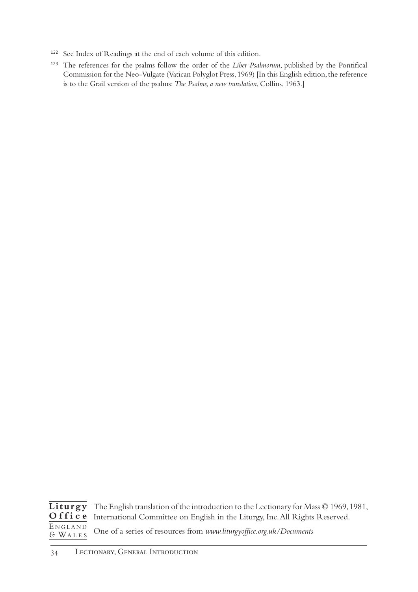- <sup>122</sup> See Index of Readings at the end of each volume of this edition.
- <sup>123</sup> The references for the psalms follow the order of the *Liber Psalmorum*, published by the Pontifical Commission for the Neo-Vulgate (Vatican Polyglot Press, 1969) [In this English edition, the reference is to the Grail version of the psalms: *The Psalms, a new translation*, Collins, 1963.]

Liturgy The English translation of the introduction to the Lectionary for Mass © 1969, 1981, O ffice International Committee on English in the Liturgy, Inc. All Rights Reserved. One of a series of resources from *www.liturgyoffice.org.uk/Documents* E N G L A N D *&* WA L E S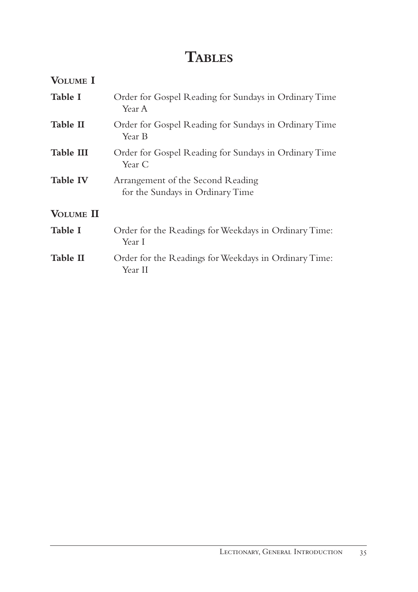# **TABLES**

| VOLUME I         |                                                                       |
|------------------|-----------------------------------------------------------------------|
| Table I          | Order for Gospel Reading for Sundays in Ordinary Time<br>Year A       |
| <b>Table II</b>  | Order for Gospel Reading for Sundays in Ordinary Time<br>Year B       |
| <b>Table III</b> | Order for Gospel Reading for Sundays in Ordinary Time<br>Year C       |
| <b>Table IV</b>  | Arrangement of the Second Reading<br>for the Sundays in Ordinary Time |
| <b>VOLUME II</b> |                                                                       |
| Table I          | Order for the Readings for Weekdays in Ordinary Time:<br>Year I       |
| <b>Table II</b>  | Order for the Readings for Weekdays in Ordinary Time:<br>Year II      |
|                  |                                                                       |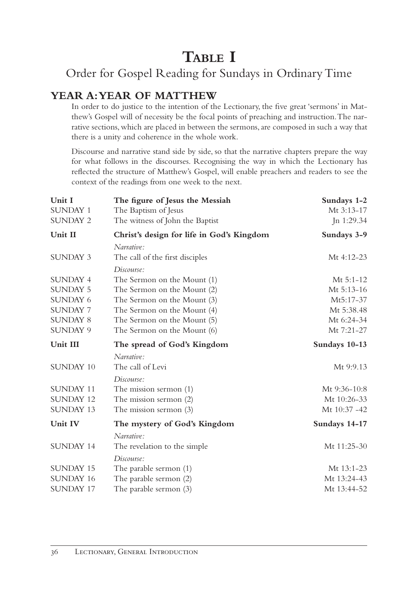# **TABLE I**

# Order for Gospel Reading for Sundays in Ordinary Time

# **YEAR A: YEAR OF MATTHEW**

In order to do justice to the intention of the Lectionary, the five great 'sermons' in Matthew's Gospel will of necessity be the focal points of preaching and instruction. The narrative sections, which are placed in between the sermons, are composed in such a way that there is a unity and coherence in the whole work.

Discourse and narrative stand side by side, so that the narrative chapters prepare the way for what follows in the discourses. Recognising the way in which the Lectionary has reflected the structure of Matthew's Gospel, will enable preachers and readers to see the context of the readings from one week to the next.

| The figure of Jesus the Messiah<br>The Baptism of Jesus | Sundays 1-2<br>Mt 3:13-17<br>Jn 1:29.34 |
|---------------------------------------------------------|-----------------------------------------|
| Christ's design for life in God's Kingdom               | Sundays 3-9                             |
| Narrative:                                              |                                         |
| The call of the first disciples                         | Mt 4:12-23                              |
| Discourse:                                              |                                         |
| The Sermon on the Mount (1)                             | $Mt 5:1-12$                             |
| The Sermon on the Mount (2)                             | Mt 5:13-16                              |
| The Sermon on the Mount (3)                             | Mt5:17-37                               |
| The Sermon on the Mount (4)                             | Mt 5:38.48                              |
| The Sermon on the Mount (5)                             | Mt 6:24-34                              |
| The Sermon on the Mount (6)                             | Mt 7:21-27                              |
| The spread of God's Kingdom                             | Sundays 10-13                           |
| Narrative:                                              |                                         |
| The call of Levi                                        | Mt 9:9.13                               |
| Discourse:                                              |                                         |
| The mission sermon (1)                                  | Mt 9:36-10:8                            |
| The mission sermon (2)                                  | Mt 10:26-33                             |
| The mission sermon $(3)$                                | Mt 10:37 -42                            |
| The mystery of God's Kingdom                            | Sundays 14-17                           |
| Narrative:                                              |                                         |
| The revelation to the simple                            | Mt 11:25-30                             |
| Discourse:                                              |                                         |
| The parable sermon (1)                                  | Mt 13:1-23                              |
| The parable sermon (2)                                  | Mt 13:24-43                             |
| The parable sermon (3)                                  | Mt 13:44-52                             |
|                                                         | The witness of John the Baptist         |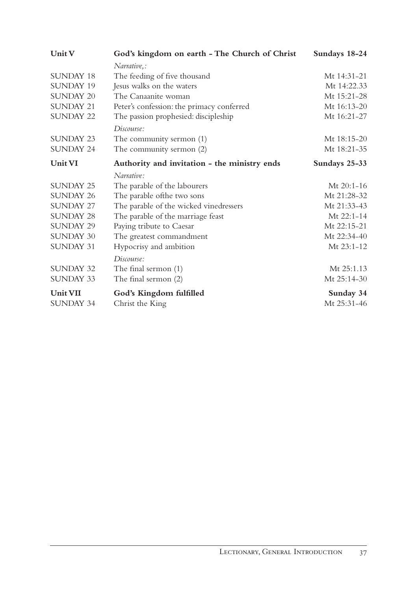| Unit V           | God's kingdom on earth - The Church of Christ | Sundays 18-24 |
|------------------|-----------------------------------------------|---------------|
|                  | Narrative,:                                   |               |
| <b>SUNDAY 18</b> | The feeding of five thousand                  | Mt 14:31-21   |
| <b>SUNDAY 19</b> | Jesus walks on the waters                     | Mt 14:22.33   |
| <b>SUNDAY 20</b> | The Canaanite woman                           | Mt 15:21-28   |
| <b>SUNDAY 21</b> | Peter's confession: the primacy conferred     | Mt 16:13-20   |
| <b>SUNDAY 22</b> | The passion prophesied: discipleship          | Mt 16:21-27   |
|                  | Discourse:                                    |               |
| <b>SUNDAY 23</b> | The community sermon (1)                      | Mt 18:15-20   |
| <b>SUNDAY 24</b> | The community sermon (2)                      | Mt 18:21-35   |
| Unit VI          | Authority and invitation - the ministry ends  | Sundays 25-33 |
|                  | Narrative:                                    |               |
| <b>SUNDAY 25</b> | The parable of the labourers                  | Mt 20:1-16    |
| <b>SUNDAY 26</b> | The parable of the two sons                   | Mt 21:28-32   |
| <b>SUNDAY 27</b> | The parable of the wicked vinedressers        | Mt 21:33-43   |
| <b>SUNDAY 28</b> | The parable of the marriage feast             | Mt 22:1-14    |
| <b>SUNDAY 29</b> | Paying tribute to Caesar                      | Mt 22:15-21   |
| <b>SUNDAY 30</b> | The greatest commandment                      | Mt 22:34-40   |
| <b>SUNDAY 31</b> | Hypocrisy and ambition                        | Mt 23:1-12    |
|                  | Discourse:                                    |               |
| <b>SUNDAY 32</b> | The final sermon (1)                          | Mt 25:1.13    |
| <b>SUNDAY 33</b> | The final sermon (2)                          | Mt 25:14-30   |
| Unit VII         | God's Kingdom fulfilled                       | Sunday 34     |
| <b>SUNDAY 34</b> | Christ the King                               | Mt 25:31-46   |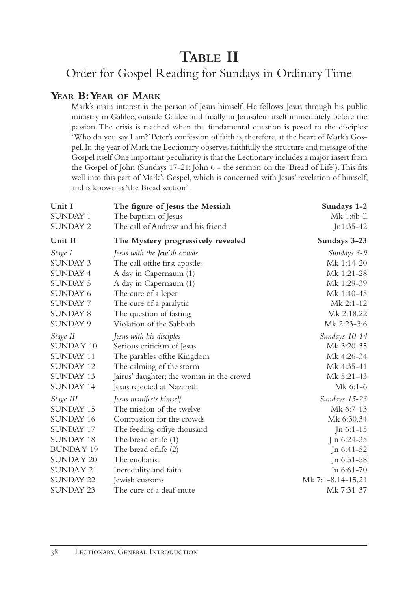# **TABLE II**

# Order for Gospel Reading for Sundays in Ordinary Time

## **YEAR B: YEAR OF MARK**

Mark's main interest is the person of Jesus himself. He follows Jesus through his public ministry in Galilee, outside Galilee and finally in Jerusalem itself immediately before the passion. The crisis is reached when the fundamental question is posed to the disciples: 'Who do you say I am?' Peter's confession of faith is, therefore, at the heart of Mark's Gospel. In the year of Mark the Lectionary observes faithfully the structure and message of the Gospel itself One important peculiarity is that the Lectionary includes a major insert from the Gospel of John (Sundays 17-21: John 6 - the sermon on the 'Bread of Life'). This fits well into this part of Mark's Gospel, which is concerned with Jesus' revelation of himself, and is known as 'the Bread section'.

| Unit I           | The figure of Jesus the Messiah          | Sundays 1-2       |
|------------------|------------------------------------------|-------------------|
| <b>SUNDAY 1</b>  | The baptism of Jesus                     | Mk 1:6b-ll        |
| <b>SUNDAY 2</b>  | The call of Andrew and his friend        | Jn1:35-42         |
| Unit II          | The Mystery progressively revealed       | Sundays 3-23      |
| Stage I          | Jesus with the Jewish crowds             | Sundays 3-9       |
| <b>SUNDAY 3</b>  | The call of the first apostles           | Mk 1:14-20        |
| <b>SUNDAY 4</b>  | A day in Capernaum (1)                   | Mk 1:21-28        |
| <b>SUNDAY 5</b>  | A day in Capernaum (1)                   | Mk 1:29-39        |
| <b>SUNDAY 6</b>  | The cure of a leper                      | Mk 1:40-45        |
| <b>SUNDAY 7</b>  | The cure of a paralytic                  | Mk 2:1-12         |
| <b>SUNDAY 8</b>  | The question of fasting                  | Mk 2:18.22        |
| <b>SUNDAY 9</b>  | Violation of the Sabbath                 | Mk 2:23-3:6       |
| Stage II         | Jesus with his disciples                 | Sundays 10-14     |
| <b>SUNDAY 10</b> | Serious criticism of Jesus               | Mk 3:20-35        |
| <b>SUNDAY 11</b> | The parables of the Kingdom              | Mk 4:26-34        |
| <b>SUNDAY 12</b> | The calming of the storm                 | Mk 4:35-41        |
| <b>SUNDAY 13</b> | Jairus' daughter; the woman in the crowd | Mk 5:21-43        |
| <b>SUNDAY 14</b> | Jesus rejected at Nazareth               | Mk 6:1-6          |
| Stage III        | Jesus manifests himself                  | Sundays 15-23     |
| <b>SUNDAY 15</b> | The mission of the twelve                | Mk 6:7-13         |
| <b>SUNDAY 16</b> | Compassion for the crowds                | Mk 6:30.34        |
| <b>SUNDAY 17</b> | The feeding offiye thousand              | $In 6:1-15$       |
| <b>SUNDAY 18</b> | The bread offife (1)                     | J n 6:24-35       |
| <b>BUNDAY 19</b> | The bread offife (2)                     | In $6:41-52$      |
| <b>SUNDAY 20</b> | The eucharist                            | Jn 6:51-58        |
| <b>SUNDAY 21</b> | Incredulity and faith                    | In $6:61-70$      |
| <b>SUNDAY 22</b> | Jewish customs                           | Mk 7:1-8.14-15,21 |
| <b>SUNDAY 23</b> | The cure of a deaf-mute                  | Mk 7:31-37        |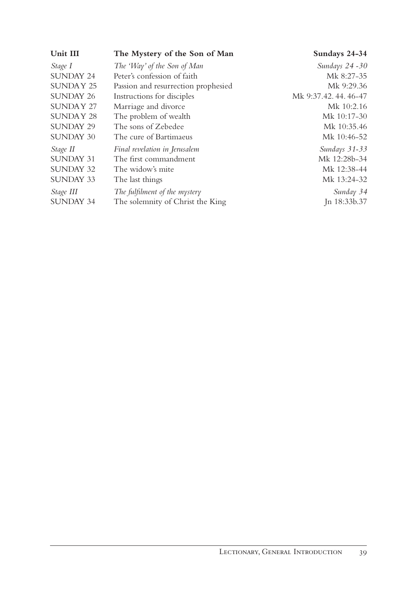| Unit III         | The Mystery of the Son of Man       | Sundays 24-34       |
|------------------|-------------------------------------|---------------------|
| Stage I          | The 'Way' of the Son of Man         | Sundays $24 - 30$   |
| <b>SUNDAY 24</b> | Peter's confession of faith         | Mk 8:27-35          |
| <b>SUNDAY 25</b> | Passion and resurrection prophesied | Mk 9:29.36          |
| <b>SUNDAY 26</b> | Instructions for disciples          | Mk 9:37.42.44.46-47 |
| <b>SUNDAY 27</b> | Marriage and divorce                | Mk 10:2.16          |
| <b>SUNDAY 28</b> | The problem of wealth               | Mk 10:17-30         |
| <b>SUNDAY 29</b> | The sons of Zebedee                 | Mk 10:35.46         |
| <b>SUNDAY 30</b> | The cure of Bartimaeus              | Mk 10:46-52         |
| Stage II         | Final revelation in Jerusalem       | Sundays 31-33       |
| <b>SUNDAY 31</b> | The first commandment               | Mk 12:28b-34        |
| <b>SUNDAY 32</b> | The widow's mite                    | Mk 12:38-44         |
| <b>SUNDAY 33</b> | The last things                     | Mk 13:24-32         |
| Stage III        | The fulfilment of the mystery       | Sunday 34           |
| <b>SUNDAY 34</b> | The solemnity of Christ the King    | Jn 18:33b.37        |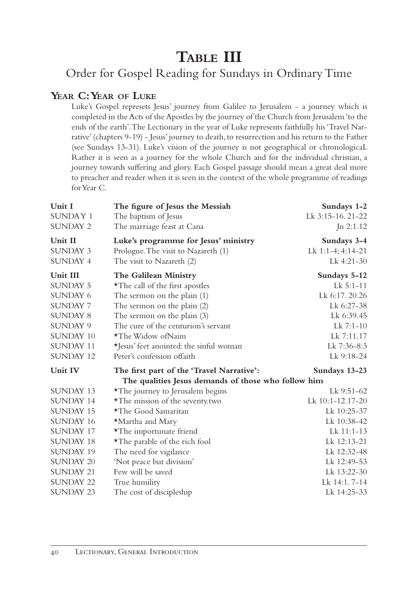# **TABLE III**

# Order for Gospel Reading for Sundays in Ordinary Time

# **YEAR C: YEAR OF LUKE**

Luke's Gospel represets Jesus' journey from Galilee to Jerusalem - a journey which is completed in the Acts of the Apostles by the journey of the Church from Jerusalem 'to the ends of the earth'. The Lectionary in the year of Luke represents faithfully his 'Travel Narrative' (chapters 9-19) - Jesus' journey to death, to resurrection and his return to the Father (see Sundays 13-31). Luke's vision of the journey is not geographical or chronologicaL Rather it is seen as a journey for the whole Church and for the individual christian, a journey towards suffering and glory. Each Gospel passage should mean a great deal more to preacher and reader when it is seen in the context of the whole programme of readings for Year C.

| Unit I           | The figure of Jesus the Messiah                     | Sundays 1-2         |
|------------------|-----------------------------------------------------|---------------------|
| <b>SUNDAY 1</b>  | The baptism of Jesus                                | Lk 3:15-16.21-22    |
| <b>SUNDAY 2</b>  | The marriage feast at Cana                          | Jn 2:1.12           |
| Unit II          | Luke's programme for Jesus' ministry                | Sundays 3-4         |
| <b>SUNDAY 3</b>  | Prologue. The visit to Nazareth (1)                 | Lk $1:1-4; 4:14-21$ |
| <b>SUNDAY 4</b>  | The visit to Nazareth (2)                           | Lk 4:21-30          |
| Unit III         | The Galilean Ministry                               | Sundays 5-12        |
| <b>SUNDAY 5</b>  | *The call of the first apostles                     | Lk 5:1-11           |
| <b>SUNDAY 6</b>  | The sermon on the plain (1)                         | Lk 6:17.20.26       |
| <b>SUNDAY 7</b>  | The sermon on the plain (2)                         | Lk 6:27-38          |
| <b>SUNDAY 8</b>  | The sermon on the plain (3)                         | Lk 6:39.45          |
| <b>SUNDAY 9</b>  | The cure of the centurion's servant                 | Lk 7:1-10           |
| <b>SUNDAY 10</b> | *The Widow ofNaim                                   | Lk 7:11.17          |
| <b>SUNDAY 11</b> | *Jesus' feet anointed: the sinful woman             | Lk 7:36-8:3         |
| <b>SUNDAY 12</b> | Peter's confession offaith                          | Lk 9:18-24          |
| Unit IV          | The first part of the 'Travel Narrative':           | Sundays 13-23       |
|                  | The qualities Jesus demands of those who follow him |                     |
| <b>SUNDAY 13</b> | *The journey to Jerusalem begins                    | Lk 9:51-62          |
| <b>SUNDAY 14</b> | *The mission of the seventy.two                     | Lk 10:1-12.17-20    |
| <b>SUNDAY 15</b> | *The Good Samaritan                                 | Lk 10:25-37         |
| <b>SUNDAY 16</b> | *Martha and Mary                                    | Lk 10:38-42         |
| <b>SUNDAY 17</b> | *The importunate friend                             | Lk 11:1-13          |
| <b>SUNDAY 18</b> | *The parable of the rich fool                       | Lk 12:13-21         |
| <b>SUNDAY 19</b> | The need for vigilance                              | Lk 12:32-48         |
| <b>SUNDAY 20</b> | 'Not peace but division'                            | Lk 12:49-53         |
| <b>SUNDAY 21</b> | Few will be saved                                   | Lk 13:22-30         |
| <b>SUNDAY 22</b> | True humility                                       | Lk 14:1.7-14        |
| <b>SUNDAY 23</b> | The cost of discipleship                            | Lk 14:25-33         |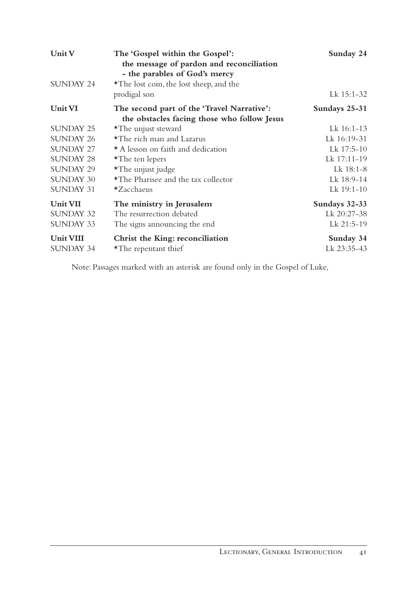| Unit V                        | The 'Gospel within the Gospel':<br>the message of pardon and reconciliation<br>- the parables of God's mercy | Sunday 24                |
|-------------------------------|--------------------------------------------------------------------------------------------------------------|--------------------------|
| <b>SUNDAY 24</b>              | *The lost coin, the lost sheep, and the                                                                      |                          |
|                               | prodigal son                                                                                                 | Lk 15:1-32               |
| Unit VI                       | The second part of the 'Travel Narrative':                                                                   | Sundays 25-31            |
|                               | the obstacles facing those who follow Jesus                                                                  |                          |
| <b>SUNDAY 25</b>              | $\star$ The unjust steward                                                                                   | Lk 16:1-13               |
| <b>SUNDAY 26</b>              | *The rich man and Lazarus                                                                                    | Lk 16:19-31              |
| <b>SUNDAY 27</b>              | * A lesson on faith and dedication                                                                           | Lk 17:5-10               |
| <b>SUNDAY 28</b>              | $\star$ The ten lepers                                                                                       | Lk 17:11-19              |
| <b>SUNDAY 29</b>              | $\star$ The unjust judge                                                                                     | Lk 18:1-8                |
| <b>SUNDAY 30</b>              | *The Pharisee and the tax collector                                                                          | Lk 18:9-14               |
| <b>SUNDAY 31</b>              | $\star$ Zacchaeus                                                                                            | Lk 19:1-10               |
| Unit VII                      | The ministry in Jerusalem                                                                                    | Sundays 32-33            |
| <b>SUNDAY 32</b>              | The resurrection debated                                                                                     | Lk 20:27-38              |
| <b>SUNDAY 33</b>              | The signs announcing the end                                                                                 | Lk 21:5-19               |
| Unit VIII<br><b>SUNDAY 34</b> | Christ the King: reconciliation<br>$\star$ The repentant thief                                               | Sunday 34<br>Lk 23:35-43 |

Note: Passages marked with an asterisk are found only in the Gospel of Luke,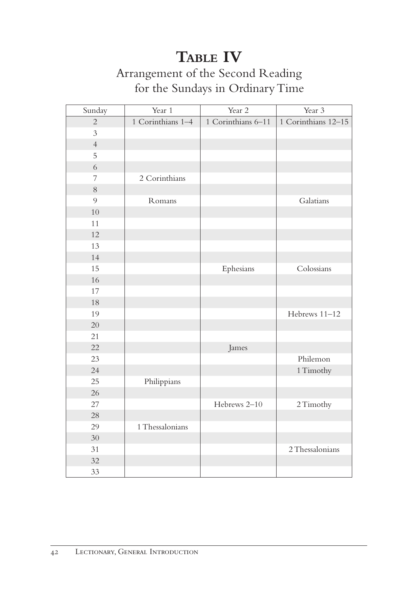# **TABLE IV**

# Arrangement of the Second Reading for the Sundays in Ordinary Time

| Sunday         | Year 1            | Year 2             | Year 3              |
|----------------|-------------------|--------------------|---------------------|
| $\sqrt{2}$     | 1 Corinthians 1-4 | 1 Corinthians 6-11 | 1 Corinthians 12-15 |
| $\overline{3}$ |                   |                    |                     |
| $\overline{4}$ |                   |                    |                     |
| 5              |                   |                    |                     |
| $\sqrt{6}$     |                   |                    |                     |
| 7              | 2 Corinthians     |                    |                     |
| $8\,$          |                   |                    |                     |
| 9              | Romans            |                    | Galatians           |
| 10             |                   |                    |                     |
| 11             |                   |                    |                     |
| 12             |                   |                    |                     |
| 13             |                   |                    |                     |
| 14             |                   |                    |                     |
| 15             |                   | Ephesians          | Colossians          |
| 16             |                   |                    |                     |
| 17             |                   |                    |                     |
| 18             |                   |                    |                     |
| 19             |                   |                    | Hebrews 11-12       |
| 20             |                   |                    |                     |
| 21             |                   |                    |                     |
| 22             |                   | James              |                     |
| 23             |                   |                    | Philemon            |
| 24             |                   |                    | 1 Timothy           |
| 25             | Philippians       |                    |                     |
| 26             |                   |                    |                     |
| 27             |                   | Hebrews 2-10       | 2 Timothy           |
| 28             |                   |                    |                     |
| 29             | 1 Thessalonians   |                    |                     |
| 30             |                   |                    |                     |
| 31             |                   |                    | 2 Thessalonians     |
| $32\,$         |                   |                    |                     |
| 33             |                   |                    |                     |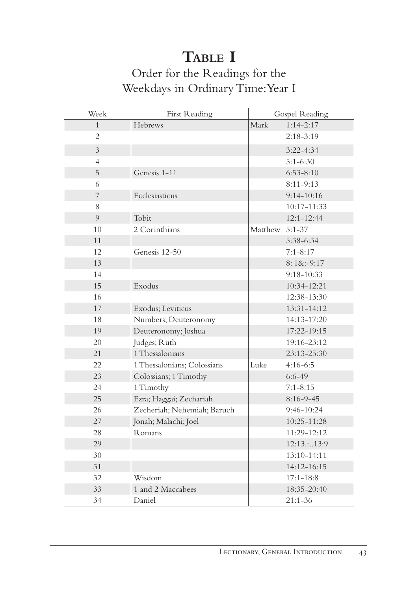# **TABLE I**

# Order for the Readings for the Weekdays in Ordinary Time: Year I

| Week           | First Reading               | Gospel Reading |                 |
|----------------|-----------------------------|----------------|-----------------|
| $\mathbf{1}$   | Hebrews                     | Mark           | $1:14-2:17$     |
| $\overline{2}$ |                             |                | $2:18-3:19$     |
| $\mathfrak{Z}$ |                             |                | $3:22-4:34$     |
| $\overline{4}$ |                             |                | $5:1-6:30$      |
| 5              | Genesis 1-11                |                | $6:53 - 8:10$   |
| 6              |                             |                | $8:11-9:13$     |
| $\overline{7}$ | Ecclesiasticus              |                | $9:14 - 10:16$  |
| 8              |                             |                | $10:17 - 11:33$ |
| 9              | Tobit                       |                | $12:1 - 12:44$  |
| 10             | 2 Corinthians               | Matthew 5:1-37 |                 |
| 11             |                             |                | 5:38-6:34       |
| 12             | Genesis 12-50               |                | $7:1 - 8:17$    |
| 13             |                             |                | $8:18: -9:17$   |
| 14             |                             |                | $9:18 - 10:33$  |
| 15             | Exodus                      |                | 10:34-12:21     |
| 16             |                             |                | 12:38-13:30     |
| 17             | Exodus; Leviticus           |                | 13:31-14:12     |
| 18             | Numbers; Deuteronomy        |                | 14:13-17:20     |
| 19             | Deuteronomy; Joshua         |                | 17:22-19:15     |
| 20             | Judges; Ruth                |                | 19:16-23:12     |
| 21             | 1 Thessalonians             |                | 23:13-25:30     |
| 22             | 1 Thessalonians; Colossians | Luke           | $4:16-6:5$      |
| 23             | Colossians; 1 Timothy       |                | $6:6 - 49$      |
| 24             | 1 Timothy                   |                | $7:1 - 8:15$    |
| 25             | Ezra; Haggai; Zechariah     |                | $8:16 - 9 - 45$ |
| 26             | Zecheriah; Nehemiah; Baruch |                | 9:46-10:24      |
| 27             | Jonah; Malachi; Joel        |                | $10:25 - 11:28$ |
| 28             | Romans                      |                | 11:29-12:12     |
| 29             |                             |                | 12:1313:9       |
| 30             |                             |                | $13:10-14:11$   |
| 31             |                             |                | 14:12-16:15     |
| 32             | Wisdom                      |                | $17:1 - 18:8$   |
| 33             | 1 and 2 Maccabees           |                | 18:35-20:40     |
| 34             | Daniel                      |                | $21:1 - 36$     |